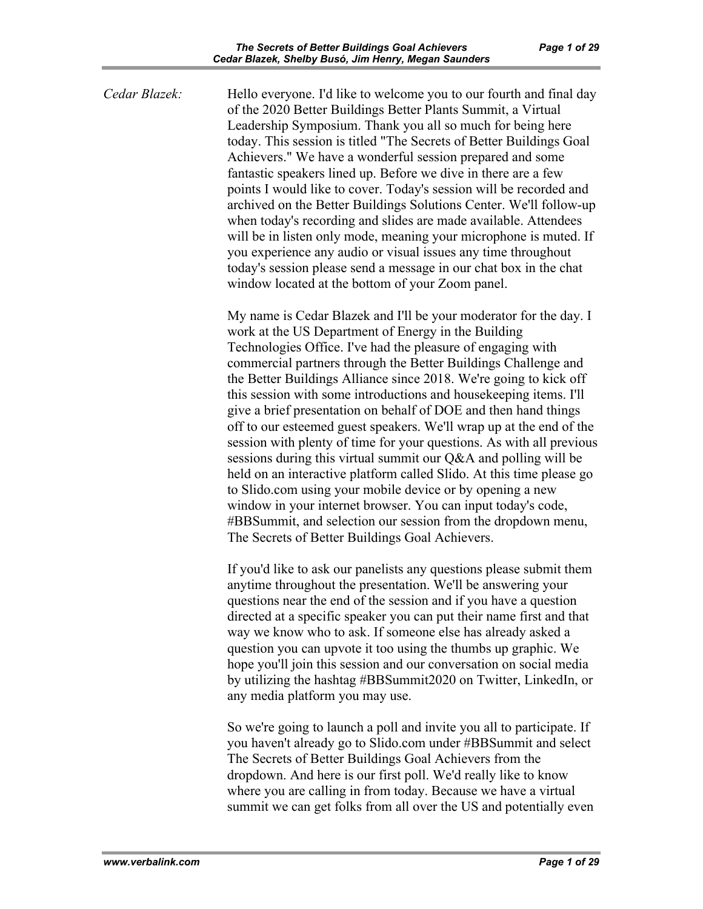*Cedar Blazek:* Hello everyone. I'd like to welcome you to our fourth and final day of the 2020 Better Buildings Better Plants Summit, a Virtual Leadership Symposium. Thank you all so much for being here today. This session is titled "The Secrets of Better Buildings Goal Achievers." We have a wonderful session prepared and some fantastic speakers lined up. Before we dive in there are a few points I would like to cover. Today's session will be recorded and archived on the Better Buildings Solutions Center. We'll follow-up when today's recording and slides are made available. Attendees will be in listen only mode, meaning your microphone is muted. If you experience any audio or visual issues any time throughout today's session please send a message in our chat box in the chat window located at the bottom of your Zoom panel.

> My name is Cedar Blazek and I'll be your moderator for the day. I work at the US Department of Energy in the Building Technologies Office. I've had the pleasure of engaging with commercial partners through the Better Buildings Challenge and the Better Buildings Alliance since 2018. We're going to kick off this session with some introductions and housekeeping items. I'll give a brief presentation on behalf of DOE and then hand things off to our esteemed guest speakers. We'll wrap up at the end of the session with plenty of time for your questions. As with all previous sessions during this virtual summit our Q&A and polling will be held on an interactive platform called Slido. At this time please go to Slido.com using your mobile device or by opening a new window in your internet browser. You can input today's code, #BBSummit, and selection our session from the dropdown menu, The Secrets of Better Buildings Goal Achievers.

If you'd like to ask our panelists any questions please submit them anytime throughout the presentation. We'll be answering your questions near the end of the session and if you have a question directed at a specific speaker you can put their name first and that way we know who to ask. If someone else has already asked a question you can upvote it too using the thumbs up graphic. We hope you'll join this session and our conversation on social media by utilizing the hashtag #BBSummit2020 on Twitter, LinkedIn, or any media platform you may use.

So we're going to launch a poll and invite you all to participate. If you haven't already go to Slido.com under #BBSummit and select The Secrets of Better Buildings Goal Achievers from the dropdown. And here is our first poll. We'd really like to know where you are calling in from today. Because we have a virtual summit we can get folks from all over the US and potentially even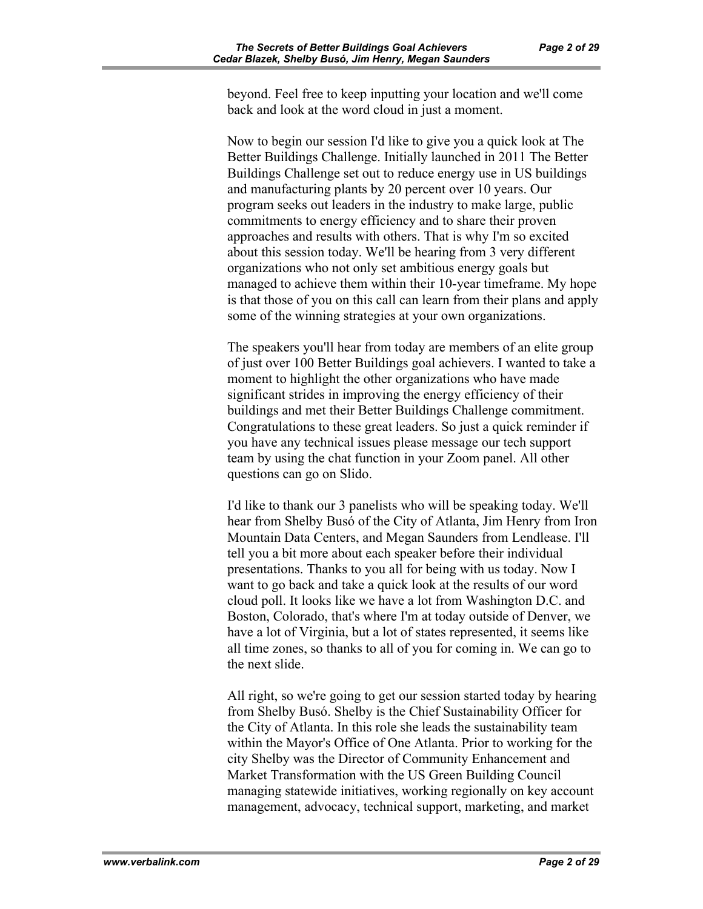beyond. Feel free to keep inputting your location and we'll come back and look at the word cloud in just a moment.

Now to begin our session I'd like to give you a quick look at The Better Buildings Challenge. Initially launched in 2011 The Better Buildings Challenge set out to reduce energy use in US buildings and manufacturing plants by 20 percent over 10 years. Our program seeks out leaders in the industry to make large, public commitments to energy efficiency and to share their proven approaches and results with others. That is why I'm so excited about this session today. We'll be hearing from 3 very different organizations who not only set ambitious energy goals but managed to achieve them within their 10-year timeframe. My hope is that those of you on this call can learn from their plans and apply some of the winning strategies at your own organizations.

The speakers you'll hear from today are members of an elite group of just over 100 Better Buildings goal achievers. I wanted to take a moment to highlight the other organizations who have made significant strides in improving the energy efficiency of their buildings and met their Better Buildings Challenge commitment. Congratulations to these great leaders. So just a quick reminder if you have any technical issues please message our tech support team by using the chat function in your Zoom panel. All other questions can go on Slido.

I'd like to thank our 3 panelists who will be speaking today. We'll hear from Shelby Busó of the City of Atlanta, Jim Henry from Iron Mountain Data Centers, and Megan Saunders from Lendlease. I'll tell you a bit more about each speaker before their individual presentations. Thanks to you all for being with us today. Now I want to go back and take a quick look at the results of our word cloud poll. It looks like we have a lot from Washington D.C. and Boston, Colorado, that's where I'm at today outside of Denver, we have a lot of Virginia, but a lot of states represented, it seems like all time zones, so thanks to all of you for coming in. We can go to the next slide.

All right, so we're going to get our session started today by hearing from Shelby Busó. Shelby is the Chief Sustainability Officer for the City of Atlanta. In this role she leads the sustainability team within the Mayor's Office of One Atlanta. Prior to working for the city Shelby was the Director of Community Enhancement and Market Transformation with the US Green Building Council managing statewide initiatives, working regionally on key account management, advocacy, technical support, marketing, and market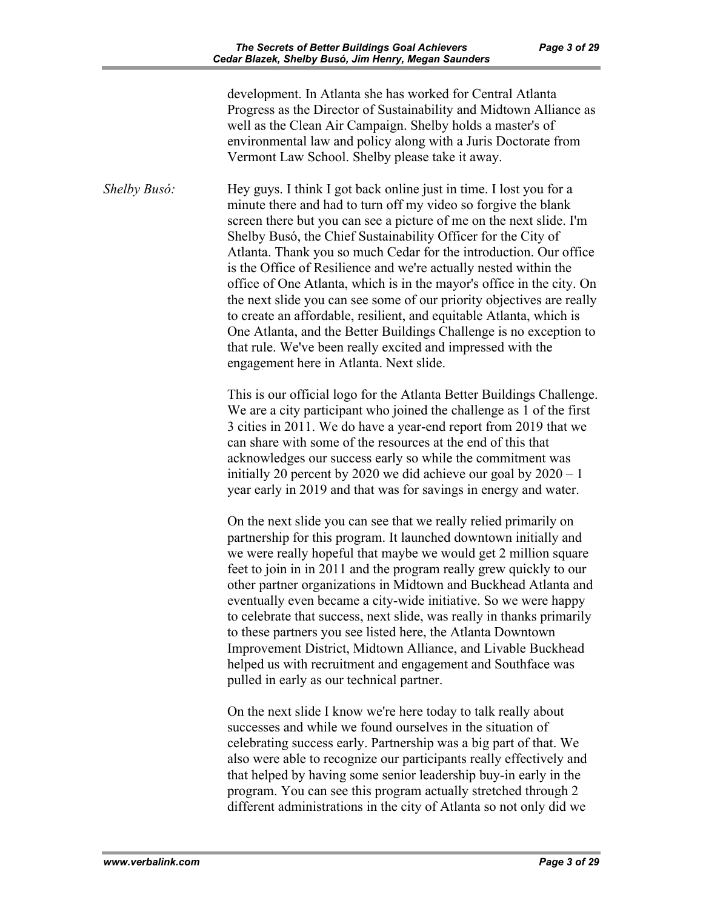development. In Atlanta she has worked for Central Atlanta Progress as the Director of Sustainability and Midtown Alliance as well as the Clean Air Campaign. Shelby holds a master's of environmental law and policy along with a Juris Doctorate from Vermont Law School. Shelby please take it away.

*Shelby Busó:* Hey guys. I think I got back online just in time. I lost you for a minute there and had to turn off my video so forgive the blank screen there but you can see a picture of me on the next slide. I'm Shelby Busó, the Chief Sustainability Officer for the City of Atlanta. Thank you so much Cedar for the introduction. Our office is the Office of Resilience and we're actually nested within the office of One Atlanta, which is in the mayor's office in the city. On the next slide you can see some of our priority objectives are really to create an affordable, resilient, and equitable Atlanta, which is One Atlanta, and the Better Buildings Challenge is no exception to that rule. We've been really excited and impressed with the engagement here in Atlanta. Next slide.

> This is our official logo for the Atlanta Better Buildings Challenge. We are a city participant who joined the challenge as 1 of the first 3 cities in 2011. We do have a year-end report from 2019 that we can share with some of the resources at the end of this that acknowledges our success early so while the commitment was initially 20 percent by 2020 we did achieve our goal by  $2020 - 1$ year early in 2019 and that was for savings in energy and water.

On the next slide you can see that we really relied primarily on partnership for this program. It launched downtown initially and we were really hopeful that maybe we would get 2 million square feet to join in in 2011 and the program really grew quickly to our other partner organizations in Midtown and Buckhead Atlanta and eventually even became a city-wide initiative. So we were happy to celebrate that success, next slide, was really in thanks primarily to these partners you see listed here, the Atlanta Downtown Improvement District, Midtown Alliance, and Livable Buckhead helped us with recruitment and engagement and Southface was pulled in early as our technical partner.

On the next slide I know we're here today to talk really about successes and while we found ourselves in the situation of celebrating success early. Partnership was a big part of that. We also were able to recognize our participants really effectively and that helped by having some senior leadership buy-in early in the program. You can see this program actually stretched through 2 different administrations in the city of Atlanta so not only did we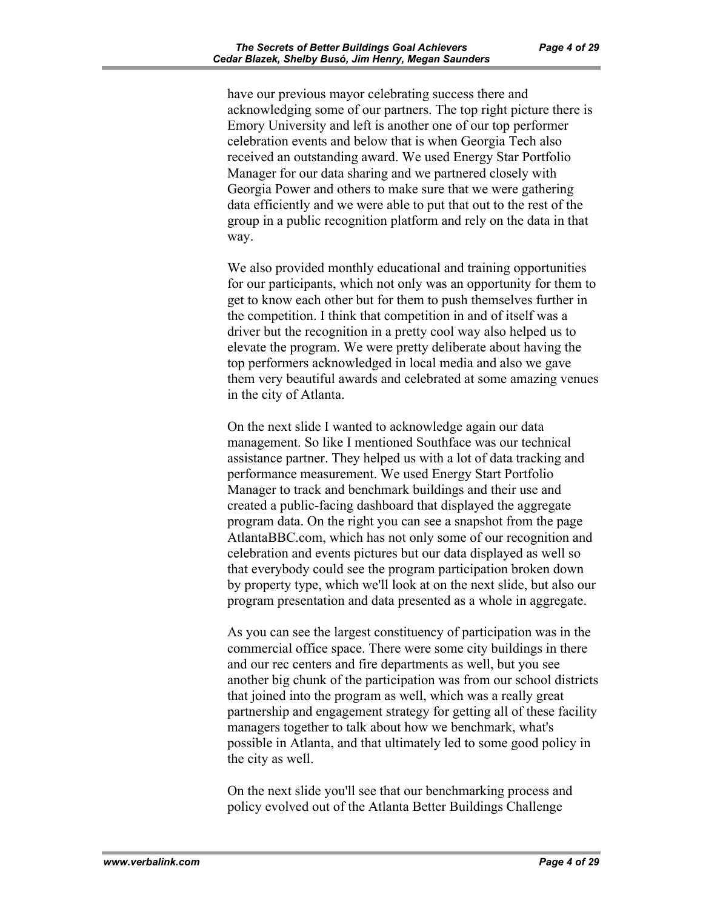have our previous mayor celebrating success there and acknowledging some of our partners. The top right picture there is Emory University and left is another one of our top performer celebration events and below that is when Georgia Tech also received an outstanding award. We used Energy Star Portfolio Manager for our data sharing and we partnered closely with Georgia Power and others to make sure that we were gathering data efficiently and we were able to put that out to the rest of the group in a public recognition platform and rely on the data in that way.

We also provided monthly educational and training opportunities for our participants, which not only was an opportunity for them to get to know each other but for them to push themselves further in the competition. I think that competition in and of itself was a driver but the recognition in a pretty cool way also helped us to elevate the program. We were pretty deliberate about having the top performers acknowledged in local media and also we gave them very beautiful awards and celebrated at some amazing venues in the city of Atlanta.

On the next slide I wanted to acknowledge again our data management. So like I mentioned Southface was our technical assistance partner. They helped us with a lot of data tracking and performance measurement. We used Energy Start Portfolio Manager to track and benchmark buildings and their use and created a public-facing dashboard that displayed the aggregate program data. On the right you can see a snapshot from the page AtlantaBBC.com, which has not only some of our recognition and celebration and events pictures but our data displayed as well so that everybody could see the program participation broken down by property type, which we'll look at on the next slide, but also our program presentation and data presented as a whole in aggregate.

As you can see the largest constituency of participation was in the commercial office space. There were some city buildings in there and our rec centers and fire departments as well, but you see another big chunk of the participation was from our school districts that joined into the program as well, which was a really great partnership and engagement strategy for getting all of these facility managers together to talk about how we benchmark, what's possible in Atlanta, and that ultimately led to some good policy in the city as well.

On the next slide you'll see that our benchmarking process and policy evolved out of the Atlanta Better Buildings Challenge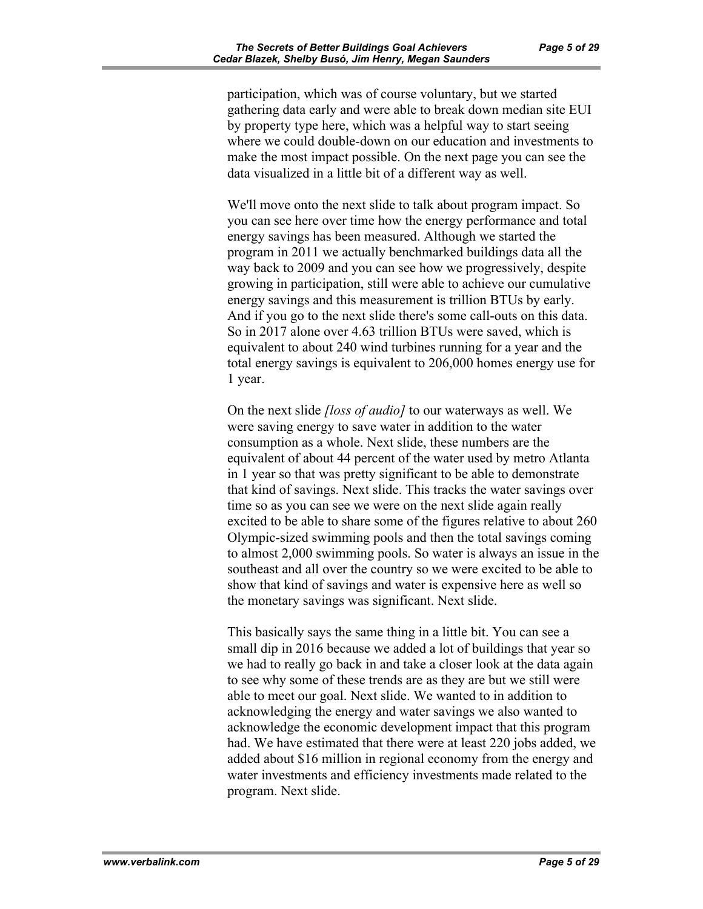participation, which was of course voluntary, but we started gathering data early and were able to break down median site EUI by property type here, which was a helpful way to start seeing where we could double-down on our education and investments to make the most impact possible. On the next page you can see the data visualized in a little bit of a different way as well.

We'll move onto the next slide to talk about program impact. So you can see here over time how the energy performance and total energy savings has been measured. Although we started the program in 2011 we actually benchmarked buildings data all the way back to 2009 and you can see how we progressively, despite growing in participation, still were able to achieve our cumulative energy savings and this measurement is trillion BTUs by early. And if you go to the next slide there's some call-outs on this data. So in 2017 alone over 4.63 trillion BTUs were saved, which is equivalent to about 240 wind turbines running for a year and the total energy savings is equivalent to 206,000 homes energy use for 1 year.

On the next slide *[loss of audio]* to our waterways as well. We were saving energy to save water in addition to the water consumption as a whole. Next slide, these numbers are the equivalent of about 44 percent of the water used by metro Atlanta in 1 year so that was pretty significant to be able to demonstrate that kind of savings. Next slide. This tracks the water savings over time so as you can see we were on the next slide again really excited to be able to share some of the figures relative to about 260 Olympic-sized swimming pools and then the total savings coming to almost 2,000 swimming pools. So water is always an issue in the southeast and all over the country so we were excited to be able to show that kind of savings and water is expensive here as well so the monetary savings was significant. Next slide.

This basically says the same thing in a little bit. You can see a small dip in 2016 because we added a lot of buildings that year so we had to really go back in and take a closer look at the data again to see why some of these trends are as they are but we still were able to meet our goal. Next slide. We wanted to in addition to acknowledging the energy and water savings we also wanted to acknowledge the economic development impact that this program had. We have estimated that there were at least 220 jobs added, we added about \$16 million in regional economy from the energy and water investments and efficiency investments made related to the program. Next slide.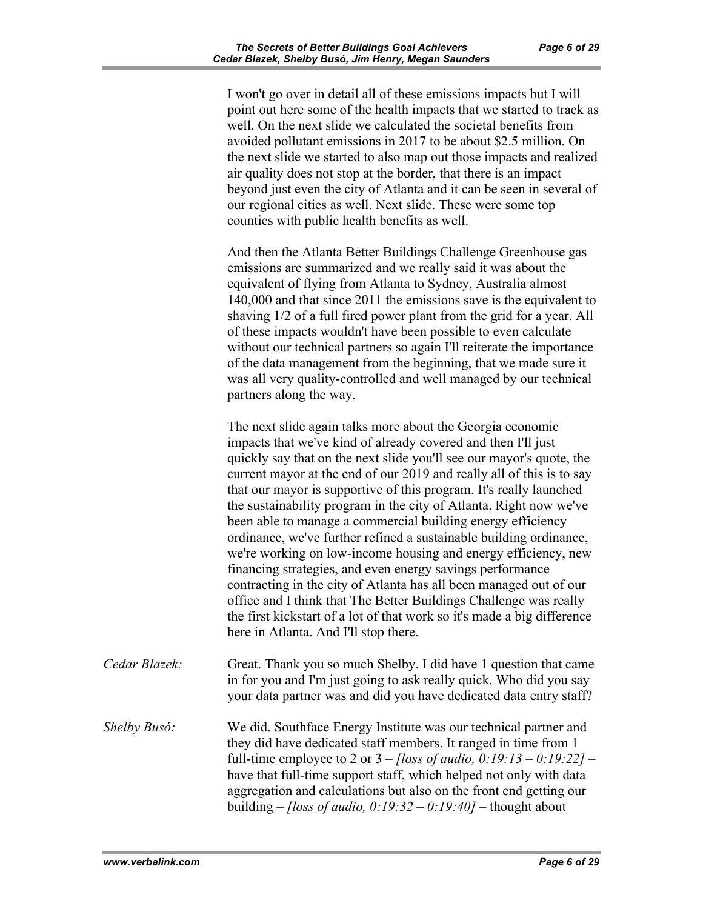I won't go over in detail all of these emissions impacts but I will point out here some of the health impacts that we started to track as well. On the next slide we calculated the societal benefits from avoided pollutant emissions in 2017 to be about \$2.5 million. On the next slide we started to also map out those impacts and realized air quality does not stop at the border, that there is an impact beyond just even the city of Atlanta and it can be seen in several of our regional cities as well. Next slide. These were some top counties with public health benefits as well.

And then the Atlanta Better Buildings Challenge Greenhouse gas emissions are summarized and we really said it was about the equivalent of flying from Atlanta to Sydney, Australia almost 140,000 and that since 2011 the emissions save is the equivalent to shaving 1/2 of a full fired power plant from the grid for a year. All of these impacts wouldn't have been possible to even calculate without our technical partners so again I'll reiterate the importance of the data management from the beginning, that we made sure it was all very quality-controlled and well managed by our technical partners along the way.

The next slide again talks more about the Georgia economic impacts that we've kind of already covered and then I'll just quickly say that on the next slide you'll see our mayor's quote, the current mayor at the end of our 2019 and really all of this is to say that our mayor is supportive of this program. It's really launched the sustainability program in the city of Atlanta. Right now we've been able to manage a commercial building energy efficiency ordinance, we've further refined a sustainable building ordinance, we're working on low-income housing and energy efficiency, new financing strategies, and even energy savings performance contracting in the city of Atlanta has all been managed out of our office and I think that The Better Buildings Challenge was really the first kickstart of a lot of that work so it's made a big difference here in Atlanta. And I'll stop there.

- *Cedar Blazek:* Great. Thank you so much Shelby. I did have 1 question that came in for you and I'm just going to ask really quick. Who did you say your data partner was and did you have dedicated data entry staff?
- *Shelby Busó:* We did. Southface Energy Institute was our technical partner and they did have dedicated staff members. It ranged in time from 1 full-time employee to 2 or 3 – *[loss of audio, 0:19:13 – 0:19:22] –* have that full-time support staff, which helped not only with data aggregation and calculations but also on the front end getting our building – *[loss of audio, 0:19:32 – 0:19:40] –* thought about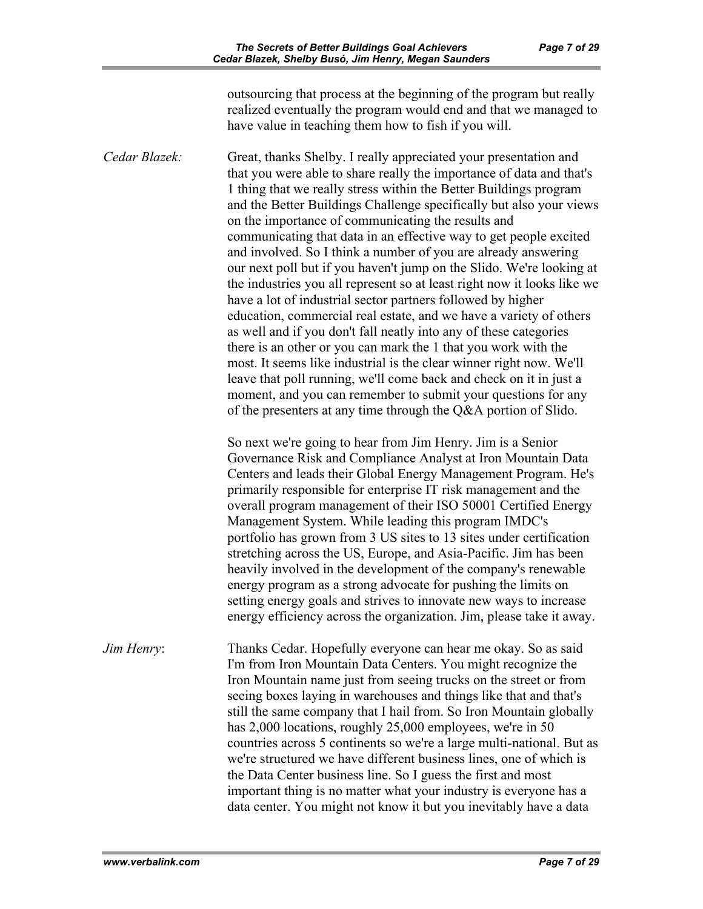outsourcing that process at the beginning of the program but really realized eventually the program would end and that we managed to have value in teaching them how to fish if you will.

*Cedar Blazek:* Great, thanks Shelby. I really appreciated your presentation and that you were able to share really the importance of data and that's 1 thing that we really stress within the Better Buildings program and the Better Buildings Challenge specifically but also your views on the importance of communicating the results and communicating that data in an effective way to get people excited and involved. So I think a number of you are already answering our next poll but if you haven't jump on the Slido. We're looking at the industries you all represent so at least right now it looks like we have a lot of industrial sector partners followed by higher education, commercial real estate, and we have a variety of others as well and if you don't fall neatly into any of these categories there is an other or you can mark the 1 that you work with the most. It seems like industrial is the clear winner right now. We'll leave that poll running, we'll come back and check on it in just a moment, and you can remember to submit your questions for any of the presenters at any time through the Q&A portion of Slido.

> So next we're going to hear from Jim Henry. Jim is a Senior Governance Risk and Compliance Analyst at Iron Mountain Data Centers and leads their Global Energy Management Program. He's primarily responsible for enterprise IT risk management and the overall program management of their ISO 50001 Certified Energy Management System. While leading this program IMDC's portfolio has grown from 3 US sites to 13 sites under certification stretching across the US, Europe, and Asia-Pacific. Jim has been heavily involved in the development of the company's renewable energy program as a strong advocate for pushing the limits on setting energy goals and strives to innovate new ways to increase energy efficiency across the organization. Jim, please take it away.

*Jim Henry*: Thanks Cedar. Hopefully everyone can hear me okay. So as said I'm from Iron Mountain Data Centers. You might recognize the Iron Mountain name just from seeing trucks on the street or from seeing boxes laying in warehouses and things like that and that's still the same company that I hail from. So Iron Mountain globally has 2,000 locations, roughly 25,000 employees, we're in 50 countries across 5 continents so we're a large multi-national. But as we're structured we have different business lines, one of which is the Data Center business line. So I guess the first and most important thing is no matter what your industry is everyone has a data center. You might not know it but you inevitably have a data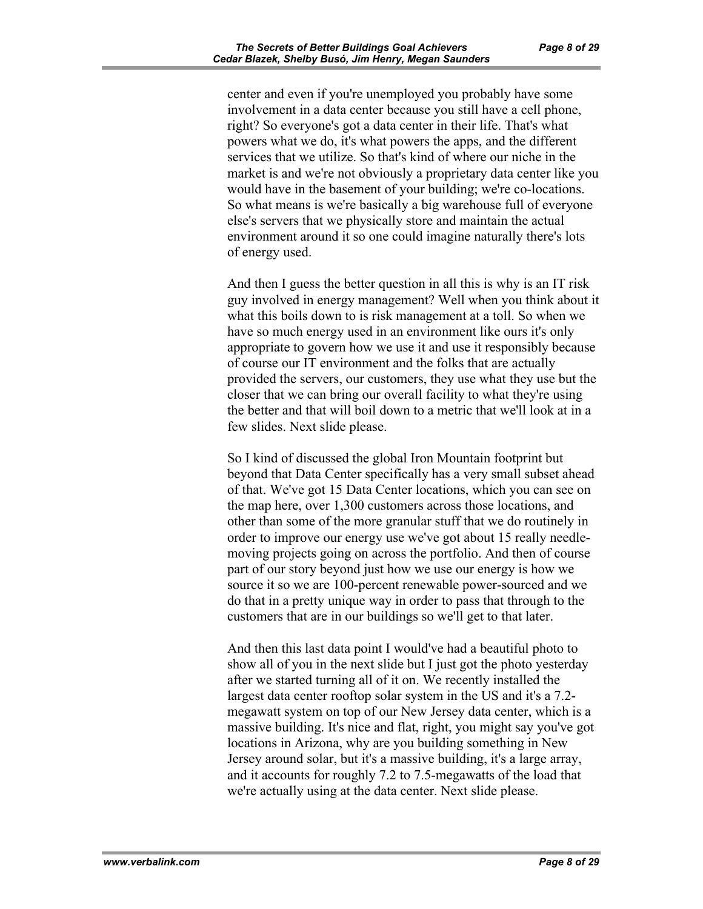center and even if you're unemployed you probably have some involvement in a data center because you still have a cell phone, right? So everyone's got a data center in their life. That's what powers what we do, it's what powers the apps, and the different services that we utilize. So that's kind of where our niche in the market is and we're not obviously a proprietary data center like you would have in the basement of your building; we're co-locations. So what means is we're basically a big warehouse full of everyone else's servers that we physically store and maintain the actual environment around it so one could imagine naturally there's lots of energy used.

And then I guess the better question in all this is why is an IT risk guy involved in energy management? Well when you think about it what this boils down to is risk management at a toll. So when we have so much energy used in an environment like ours it's only appropriate to govern how we use it and use it responsibly because of course our IT environment and the folks that are actually provided the servers, our customers, they use what they use but the closer that we can bring our overall facility to what they're using the better and that will boil down to a metric that we'll look at in a few slides. Next slide please.

So I kind of discussed the global Iron Mountain footprint but beyond that Data Center specifically has a very small subset ahead of that. We've got 15 Data Center locations, which you can see on the map here, over 1,300 customers across those locations, and other than some of the more granular stuff that we do routinely in order to improve our energy use we've got about 15 really needlemoving projects going on across the portfolio. And then of course part of our story beyond just how we use our energy is how we source it so we are 100-percent renewable power-sourced and we do that in a pretty unique way in order to pass that through to the customers that are in our buildings so we'll get to that later.

And then this last data point I would've had a beautiful photo to show all of you in the next slide but I just got the photo yesterday after we started turning all of it on. We recently installed the largest data center rooftop solar system in the US and it's a 7.2 megawatt system on top of our New Jersey data center, which is a massive building. It's nice and flat, right, you might say you've got locations in Arizona, why are you building something in New Jersey around solar, but it's a massive building, it's a large array, and it accounts for roughly 7.2 to 7.5-megawatts of the load that we're actually using at the data center. Next slide please.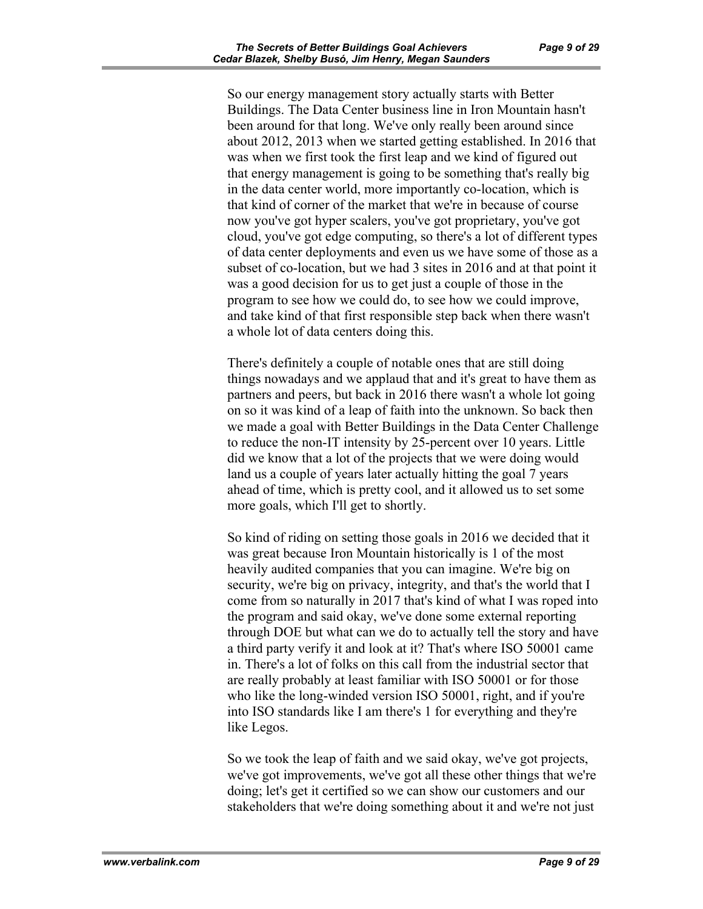So our energy management story actually starts with Better Buildings. The Data Center business line in Iron Mountain hasn't been around for that long. We've only really been around since about 2012, 2013 when we started getting established. In 2016 that was when we first took the first leap and we kind of figured out that energy management is going to be something that's really big in the data center world, more importantly co-location, which is that kind of corner of the market that we're in because of course now you've got hyper scalers, you've got proprietary, you've got cloud, you've got edge computing, so there's a lot of different types of data center deployments and even us we have some of those as a subset of co-location, but we had 3 sites in 2016 and at that point it was a good decision for us to get just a couple of those in the program to see how we could do, to see how we could improve, and take kind of that first responsible step back when there wasn't a whole lot of data centers doing this.

There's definitely a couple of notable ones that are still doing things nowadays and we applaud that and it's great to have them as partners and peers, but back in 2016 there wasn't a whole lot going on so it was kind of a leap of faith into the unknown. So back then we made a goal with Better Buildings in the Data Center Challenge to reduce the non-IT intensity by 25-percent over 10 years. Little did we know that a lot of the projects that we were doing would land us a couple of years later actually hitting the goal 7 years ahead of time, which is pretty cool, and it allowed us to set some more goals, which I'll get to shortly.

So kind of riding on setting those goals in 2016 we decided that it was great because Iron Mountain historically is 1 of the most heavily audited companies that you can imagine. We're big on security, we're big on privacy, integrity, and that's the world that I come from so naturally in 2017 that's kind of what I was roped into the program and said okay, we've done some external reporting through DOE but what can we do to actually tell the story and have a third party verify it and look at it? That's where ISO 50001 came in. There's a lot of folks on this call from the industrial sector that are really probably at least familiar with ISO 50001 or for those who like the long-winded version ISO 50001, right, and if you're into ISO standards like I am there's 1 for everything and they're like Legos.

So we took the leap of faith and we said okay, we've got projects, we've got improvements, we've got all these other things that we're doing; let's get it certified so we can show our customers and our stakeholders that we're doing something about it and we're not just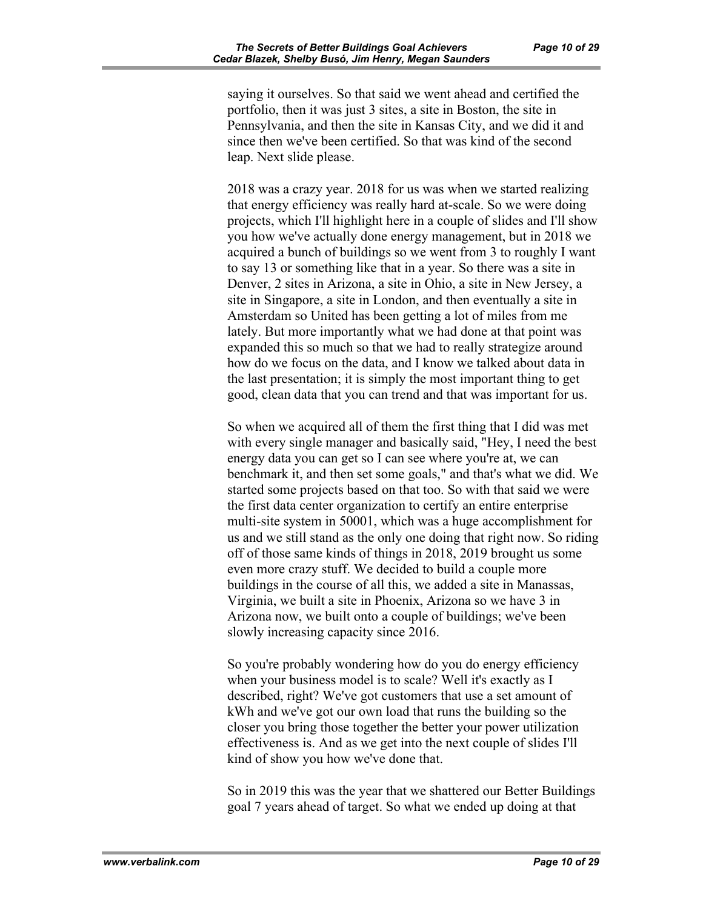saying it ourselves. So that said we went ahead and certified the portfolio, then it was just 3 sites, a site in Boston, the site in Pennsylvania, and then the site in Kansas City, and we did it and since then we've been certified. So that was kind of the second leap. Next slide please.

2018 was a crazy year. 2018 for us was when we started realizing that energy efficiency was really hard at-scale. So we were doing projects, which I'll highlight here in a couple of slides and I'll show you how we've actually done energy management, but in 2018 we acquired a bunch of buildings so we went from 3 to roughly I want to say 13 or something like that in a year. So there was a site in Denver, 2 sites in Arizona, a site in Ohio, a site in New Jersey, a site in Singapore, a site in London, and then eventually a site in Amsterdam so United has been getting a lot of miles from me lately. But more importantly what we had done at that point was expanded this so much so that we had to really strategize around how do we focus on the data, and I know we talked about data in the last presentation; it is simply the most important thing to get good, clean data that you can trend and that was important for us.

So when we acquired all of them the first thing that I did was met with every single manager and basically said, "Hey, I need the best energy data you can get so I can see where you're at, we can benchmark it, and then set some goals," and that's what we did. We started some projects based on that too. So with that said we were the first data center organization to certify an entire enterprise multi-site system in 50001, which was a huge accomplishment for us and we still stand as the only one doing that right now. So riding off of those same kinds of things in 2018, 2019 brought us some even more crazy stuff. We decided to build a couple more buildings in the course of all this, we added a site in Manassas, Virginia, we built a site in Phoenix, Arizona so we have 3 in Arizona now, we built onto a couple of buildings; we've been slowly increasing capacity since 2016.

So you're probably wondering how do you do energy efficiency when your business model is to scale? Well it's exactly as I described, right? We've got customers that use a set amount of kWh and we've got our own load that runs the building so the closer you bring those together the better your power utilization effectiveness is. And as we get into the next couple of slides I'll kind of show you how we've done that.

So in 2019 this was the year that we shattered our Better Buildings goal 7 years ahead of target. So what we ended up doing at that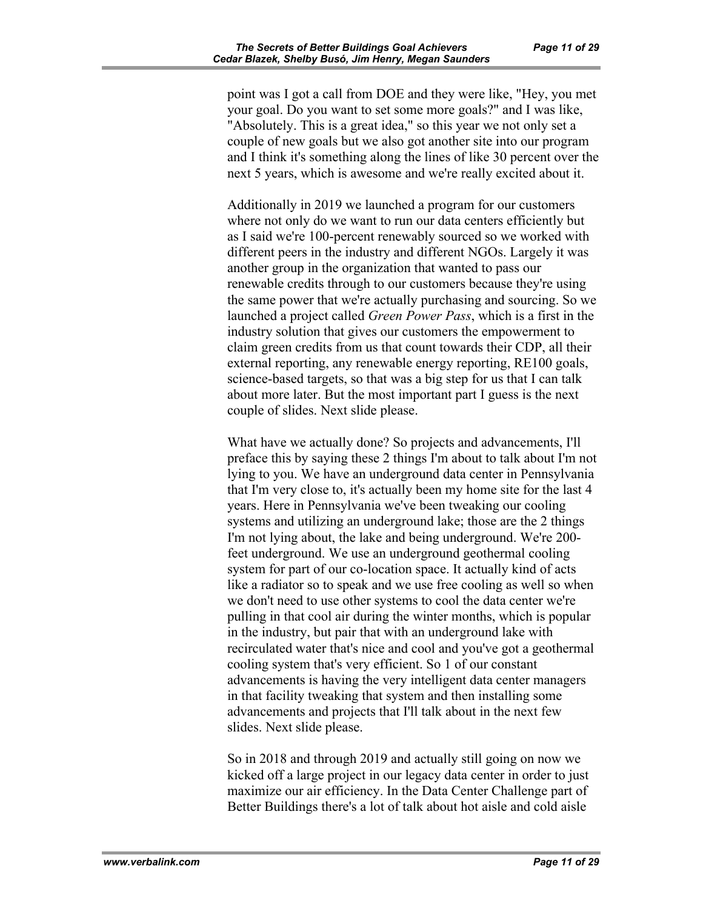point was I got a call from DOE and they were like, "Hey, you met your goal. Do you want to set some more goals?" and I was like, "Absolutely. This is a great idea," so this year we not only set a couple of new goals but we also got another site into our program and I think it's something along the lines of like 30 percent over the next 5 years, which is awesome and we're really excited about it.

Additionally in 2019 we launched a program for our customers where not only do we want to run our data centers efficiently but as I said we're 100-percent renewably sourced so we worked with different peers in the industry and different NGOs. Largely it was another group in the organization that wanted to pass our renewable credits through to our customers because they're using the same power that we're actually purchasing and sourcing. So we launched a project called *Green Power Pass*, which is a first in the industry solution that gives our customers the empowerment to claim green credits from us that count towards their CDP, all their external reporting, any renewable energy reporting, RE100 goals, science-based targets, so that was a big step for us that I can talk about more later. But the most important part I guess is the next couple of slides. Next slide please.

What have we actually done? So projects and advancements, I'll preface this by saying these 2 things I'm about to talk about I'm not lying to you. We have an underground data center in Pennsylvania that I'm very close to, it's actually been my home site for the last 4 years. Here in Pennsylvania we've been tweaking our cooling systems and utilizing an underground lake; those are the 2 things I'm not lying about, the lake and being underground. We're 200 feet underground. We use an underground geothermal cooling system for part of our co-location space. It actually kind of acts like a radiator so to speak and we use free cooling as well so when we don't need to use other systems to cool the data center we're pulling in that cool air during the winter months, which is popular in the industry, but pair that with an underground lake with recirculated water that's nice and cool and you've got a geothermal cooling system that's very efficient. So 1 of our constant advancements is having the very intelligent data center managers in that facility tweaking that system and then installing some advancements and projects that I'll talk about in the next few slides. Next slide please.

So in 2018 and through 2019 and actually still going on now we kicked off a large project in our legacy data center in order to just maximize our air efficiency. In the Data Center Challenge part of Better Buildings there's a lot of talk about hot aisle and cold aisle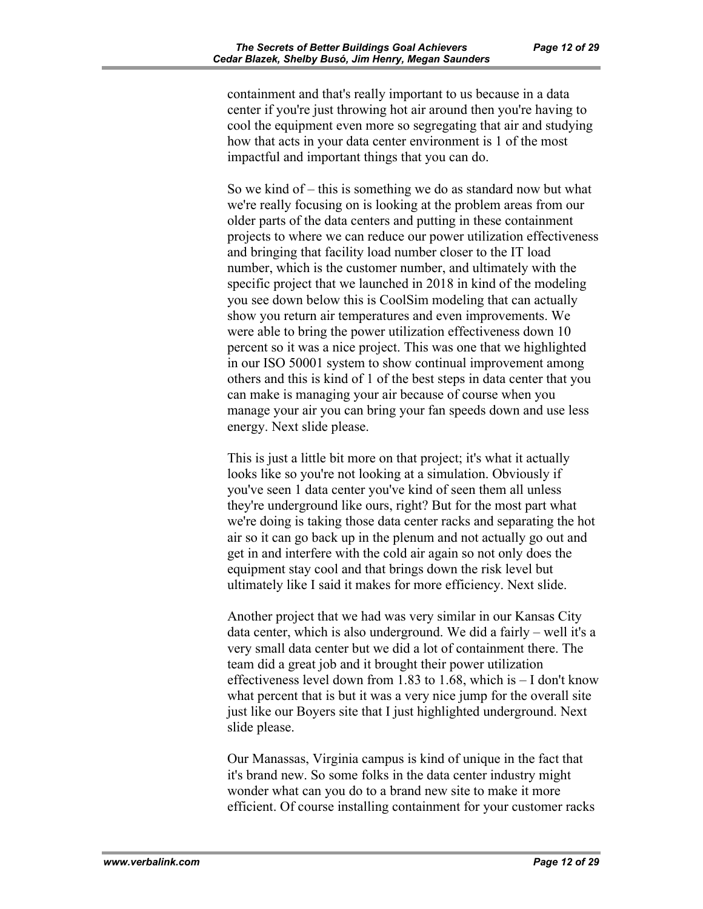containment and that's really important to us because in a data center if you're just throwing hot air around then you're having to cool the equipment even more so segregating that air and studying how that acts in your data center environment is 1 of the most impactful and important things that you can do.

So we kind of – this is something we do as standard now but what we're really focusing on is looking at the problem areas from our older parts of the data centers and putting in these containment projects to where we can reduce our power utilization effectiveness and bringing that facility load number closer to the IT load number, which is the customer number, and ultimately with the specific project that we launched in 2018 in kind of the modeling you see down below this is CoolSim modeling that can actually show you return air temperatures and even improvements. We were able to bring the power utilization effectiveness down 10 percent so it was a nice project. This was one that we highlighted in our ISO 50001 system to show continual improvement among others and this is kind of 1 of the best steps in data center that you can make is managing your air because of course when you manage your air you can bring your fan speeds down and use less energy. Next slide please.

This is just a little bit more on that project; it's what it actually looks like so you're not looking at a simulation. Obviously if you've seen 1 data center you've kind of seen them all unless they're underground like ours, right? But for the most part what we're doing is taking those data center racks and separating the hot air so it can go back up in the plenum and not actually go out and get in and interfere with the cold air again so not only does the equipment stay cool and that brings down the risk level but ultimately like I said it makes for more efficiency. Next slide.

Another project that we had was very similar in our Kansas City data center, which is also underground. We did a fairly – well it's a very small data center but we did a lot of containment there. The team did a great job and it brought their power utilization effectiveness level down from 1.83 to 1.68, which is – I don't know what percent that is but it was a very nice jump for the overall site just like our Boyers site that I just highlighted underground. Next slide please.

Our Manassas, Virginia campus is kind of unique in the fact that it's brand new. So some folks in the data center industry might wonder what can you do to a brand new site to make it more efficient. Of course installing containment for your customer racks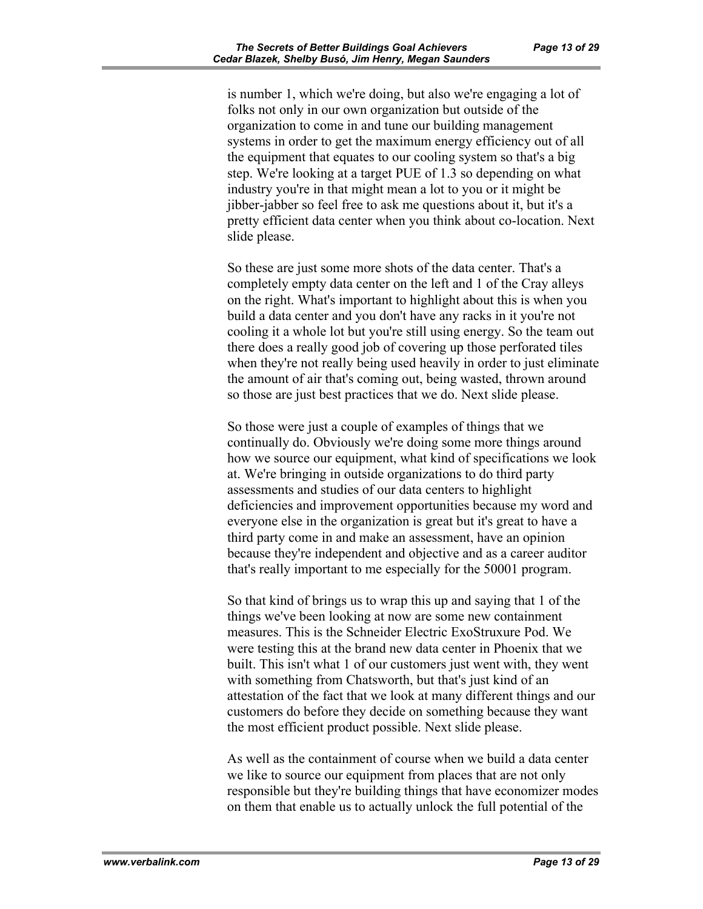is number 1, which we're doing, but also we're engaging a lot of folks not only in our own organization but outside of the organization to come in and tune our building management systems in order to get the maximum energy efficiency out of all the equipment that equates to our cooling system so that's a big step. We're looking at a target PUE of 1.3 so depending on what industry you're in that might mean a lot to you or it might be jibber-jabber so feel free to ask me questions about it, but it's a pretty efficient data center when you think about co-location. Next slide please.

So these are just some more shots of the data center. That's a completely empty data center on the left and 1 of the Cray alleys on the right. What's important to highlight about this is when you build a data center and you don't have any racks in it you're not cooling it a whole lot but you're still using energy. So the team out there does a really good job of covering up those perforated tiles when they're not really being used heavily in order to just eliminate the amount of air that's coming out, being wasted, thrown around so those are just best practices that we do. Next slide please.

So those were just a couple of examples of things that we continually do. Obviously we're doing some more things around how we source our equipment, what kind of specifications we look at. We're bringing in outside organizations to do third party assessments and studies of our data centers to highlight deficiencies and improvement opportunities because my word and everyone else in the organization is great but it's great to have a third party come in and make an assessment, have an opinion because they're independent and objective and as a career auditor that's really important to me especially for the 50001 program.

So that kind of brings us to wrap this up and saying that 1 of the things we've been looking at now are some new containment measures. This is the Schneider Electric ExoStruxure Pod. We were testing this at the brand new data center in Phoenix that we built. This isn't what 1 of our customers just went with, they went with something from Chatsworth, but that's just kind of an attestation of the fact that we look at many different things and our customers do before they decide on something because they want the most efficient product possible. Next slide please.

As well as the containment of course when we build a data center we like to source our equipment from places that are not only responsible but they're building things that have economizer modes on them that enable us to actually unlock the full potential of the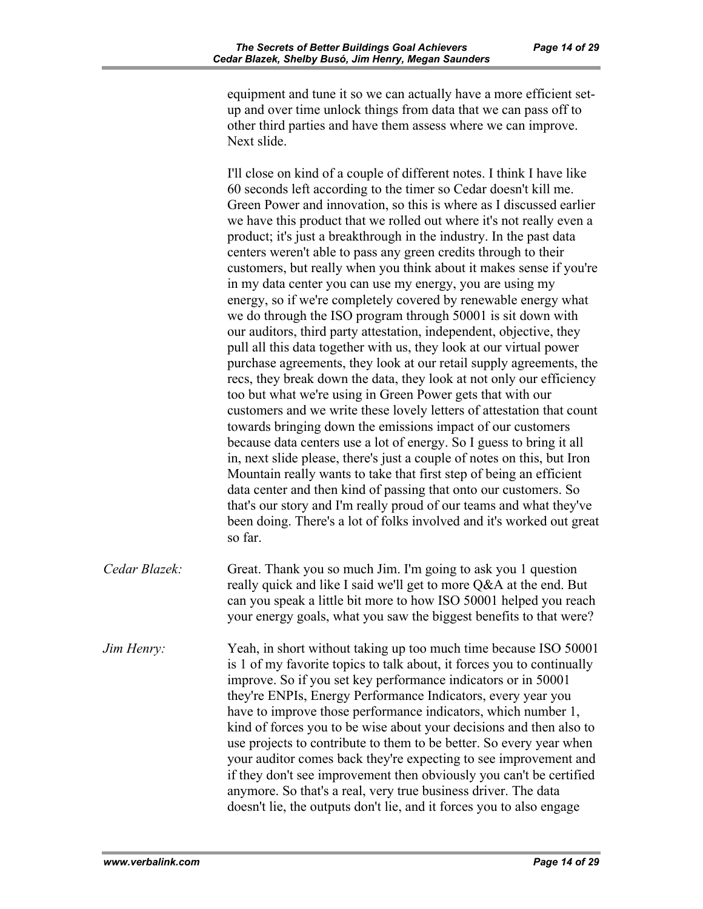equipment and tune it so we can actually have a more efficient setup and over time unlock things from data that we can pass off to other third parties and have them assess where we can improve. Next slide.

I'll close on kind of a couple of different notes. I think I have like 60 seconds left according to the timer so Cedar doesn't kill me. Green Power and innovation, so this is where as I discussed earlier we have this product that we rolled out where it's not really even a product; it's just a breakthrough in the industry. In the past data centers weren't able to pass any green credits through to their customers, but really when you think about it makes sense if you're in my data center you can use my energy, you are using my energy, so if we're completely covered by renewable energy what we do through the ISO program through 50001 is sit down with our auditors, third party attestation, independent, objective, they pull all this data together with us, they look at our virtual power purchase agreements, they look at our retail supply agreements, the recs, they break down the data, they look at not only our efficiency too but what we're using in Green Power gets that with our customers and we write these lovely letters of attestation that count towards bringing down the emissions impact of our customers because data centers use a lot of energy. So I guess to bring it all in, next slide please, there's just a couple of notes on this, but Iron Mountain really wants to take that first step of being an efficient data center and then kind of passing that onto our customers. So that's our story and I'm really proud of our teams and what they've been doing. There's a lot of folks involved and it's worked out great so far.

*Cedar Blazek:* Great. Thank you so much Jim. I'm going to ask you 1 question really quick and like I said we'll get to more Q&A at the end. But can you speak a little bit more to how ISO 50001 helped you reach your energy goals, what you saw the biggest benefits to that were?

*Jim Henry:* Yeah, in short without taking up too much time because ISO 50001 is 1 of my favorite topics to talk about, it forces you to continually improve. So if you set key performance indicators or in 50001 they're ENPIs, Energy Performance Indicators, every year you have to improve those performance indicators, which number 1, kind of forces you to be wise about your decisions and then also to use projects to contribute to them to be better. So every year when your auditor comes back they're expecting to see improvement and if they don't see improvement then obviously you can't be certified anymore. So that's a real, very true business driver. The data doesn't lie, the outputs don't lie, and it forces you to also engage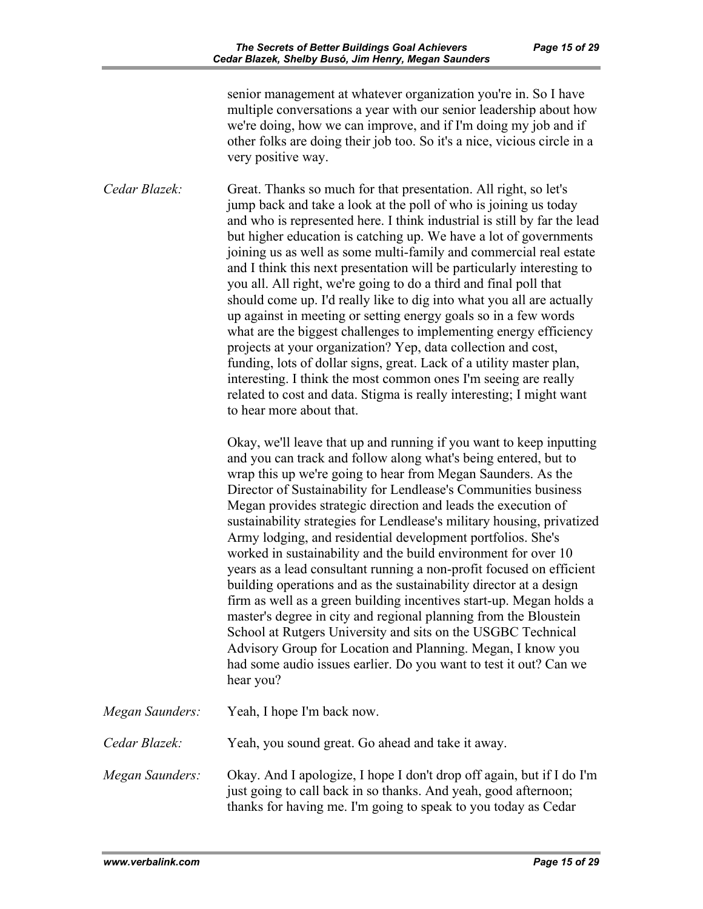senior management at whatever organization you're in. So I have multiple conversations a year with our senior leadership about how we're doing, how we can improve, and if I'm doing my job and if other folks are doing their job too. So it's a nice, vicious circle in a very positive way.

*Cedar Blazek:* Great. Thanks so much for that presentation. All right, so let's jump back and take a look at the poll of who is joining us today and who is represented here. I think industrial is still by far the lead but higher education is catching up. We have a lot of governments joining us as well as some multi-family and commercial real estate and I think this next presentation will be particularly interesting to you all. All right, we're going to do a third and final poll that should come up. I'd really like to dig into what you all are actually up against in meeting or setting energy goals so in a few words what are the biggest challenges to implementing energy efficiency projects at your organization? Yep, data collection and cost, funding, lots of dollar signs, great. Lack of a utility master plan, interesting. I think the most common ones I'm seeing are really related to cost and data. Stigma is really interesting; I might want to hear more about that.

> Okay, we'll leave that up and running if you want to keep inputting and you can track and follow along what's being entered, but to wrap this up we're going to hear from Megan Saunders. As the Director of Sustainability for Lendlease's Communities business Megan provides strategic direction and leads the execution of sustainability strategies for Lendlease's military housing, privatized Army lodging, and residential development portfolios. She's worked in sustainability and the build environment for over 10 years as a lead consultant running a non-profit focused on efficient building operations and as the sustainability director at a design firm as well as a green building incentives start-up. Megan holds a master's degree in city and regional planning from the Bloustein School at Rutgers University and sits on the USGBC Technical Advisory Group for Location and Planning. Megan, I know you had some audio issues earlier. Do you want to test it out? Can we hear you?

| Megan Saunders: | Yeah, I hope I'm back now.                                                                                                                                                                                 |
|-----------------|------------------------------------------------------------------------------------------------------------------------------------------------------------------------------------------------------------|
| Cedar Blazek:   | Yeah, you sound great. Go ahead and take it away.                                                                                                                                                          |
| Megan Saunders: | Okay. And I apologize, I hope I don't drop off again, but if I do I'm<br>just going to call back in so thanks. And yeah, good afternoon;<br>thanks for having me. I'm going to speak to you today as Cedar |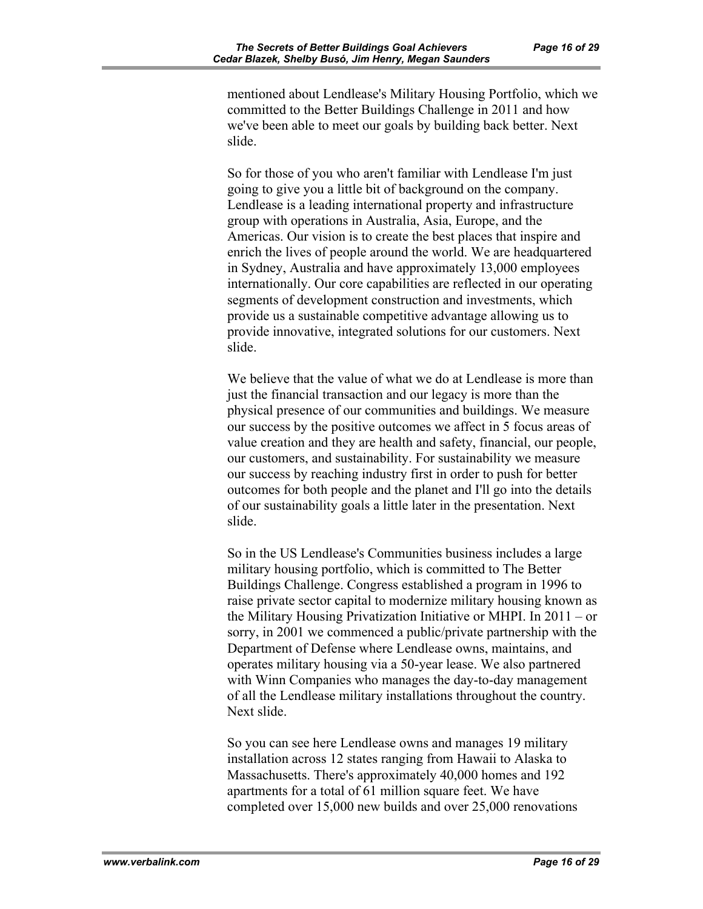mentioned about Lendlease's Military Housing Portfolio, which we committed to the Better Buildings Challenge in 2011 and how we've been able to meet our goals by building back better. Next slide.

So for those of you who aren't familiar with Lendlease I'm just going to give you a little bit of background on the company. Lendlease is a leading international property and infrastructure group with operations in Australia, Asia, Europe, and the Americas. Our vision is to create the best places that inspire and enrich the lives of people around the world. We are headquartered in Sydney, Australia and have approximately 13,000 employees internationally. Our core capabilities are reflected in our operating segments of development construction and investments, which provide us a sustainable competitive advantage allowing us to provide innovative, integrated solutions for our customers. Next slide.

We believe that the value of what we do at Lendlease is more than just the financial transaction and our legacy is more than the physical presence of our communities and buildings. We measure our success by the positive outcomes we affect in 5 focus areas of value creation and they are health and safety, financial, our people, our customers, and sustainability. For sustainability we measure our success by reaching industry first in order to push for better outcomes for both people and the planet and I'll go into the details of our sustainability goals a little later in the presentation. Next slide.

So in the US Lendlease's Communities business includes a large military housing portfolio, which is committed to The Better Buildings Challenge. Congress established a program in 1996 to raise private sector capital to modernize military housing known as the Military Housing Privatization Initiative or MHPI. In 2011 – or sorry, in 2001 we commenced a public/private partnership with the Department of Defense where Lendlease owns, maintains, and operates military housing via a 50-year lease. We also partnered with Winn Companies who manages the day-to-day management of all the Lendlease military installations throughout the country. Next slide.

So you can see here Lendlease owns and manages 19 military installation across 12 states ranging from Hawaii to Alaska to Massachusetts. There's approximately 40,000 homes and 192 apartments for a total of 61 million square feet. We have completed over 15,000 new builds and over 25,000 renovations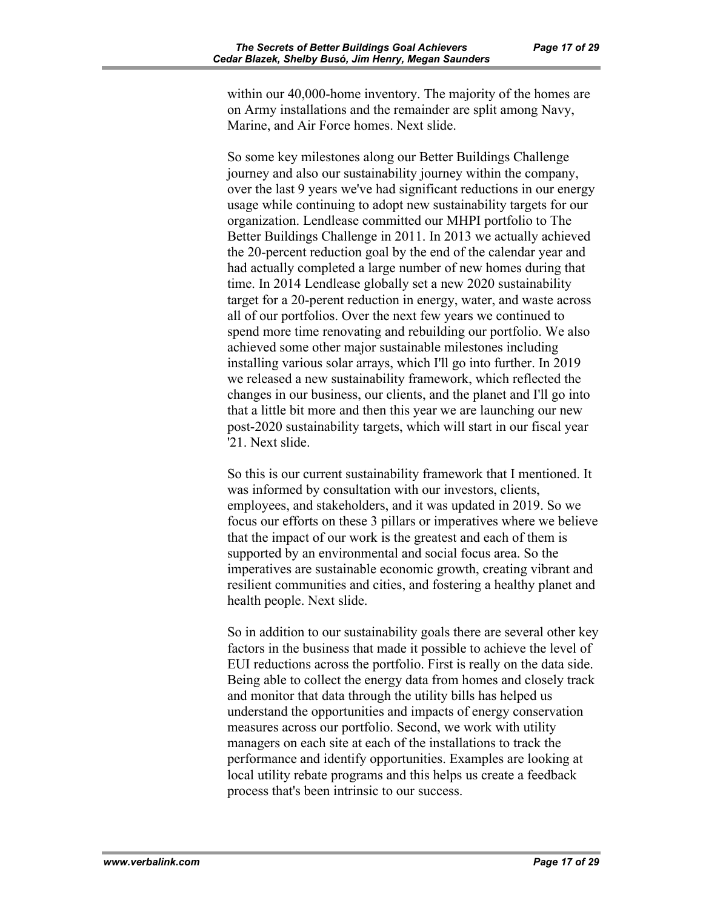within our 40,000-home inventory. The majority of the homes are on Army installations and the remainder are split among Navy, Marine, and Air Force homes. Next slide.

So some key milestones along our Better Buildings Challenge journey and also our sustainability journey within the company, over the last 9 years we've had significant reductions in our energy usage while continuing to adopt new sustainability targets for our organization. Lendlease committed our MHPI portfolio to The Better Buildings Challenge in 2011. In 2013 we actually achieved the 20-percent reduction goal by the end of the calendar year and had actually completed a large number of new homes during that time. In 2014 Lendlease globally set a new 2020 sustainability target for a 20-perent reduction in energy, water, and waste across all of our portfolios. Over the next few years we continued to spend more time renovating and rebuilding our portfolio. We also achieved some other major sustainable milestones including installing various solar arrays, which I'll go into further. In 2019 we released a new sustainability framework, which reflected the changes in our business, our clients, and the planet and I'll go into that a little bit more and then this year we are launching our new post-2020 sustainability targets, which will start in our fiscal year '21. Next slide.

So this is our current sustainability framework that I mentioned. It was informed by consultation with our investors, clients, employees, and stakeholders, and it was updated in 2019. So we focus our efforts on these 3 pillars or imperatives where we believe that the impact of our work is the greatest and each of them is supported by an environmental and social focus area. So the imperatives are sustainable economic growth, creating vibrant and resilient communities and cities, and fostering a healthy planet and health people. Next slide.

So in addition to our sustainability goals there are several other key factors in the business that made it possible to achieve the level of EUI reductions across the portfolio. First is really on the data side. Being able to collect the energy data from homes and closely track and monitor that data through the utility bills has helped us understand the opportunities and impacts of energy conservation measures across our portfolio. Second, we work with utility managers on each site at each of the installations to track the performance and identify opportunities. Examples are looking at local utility rebate programs and this helps us create a feedback process that's been intrinsic to our success.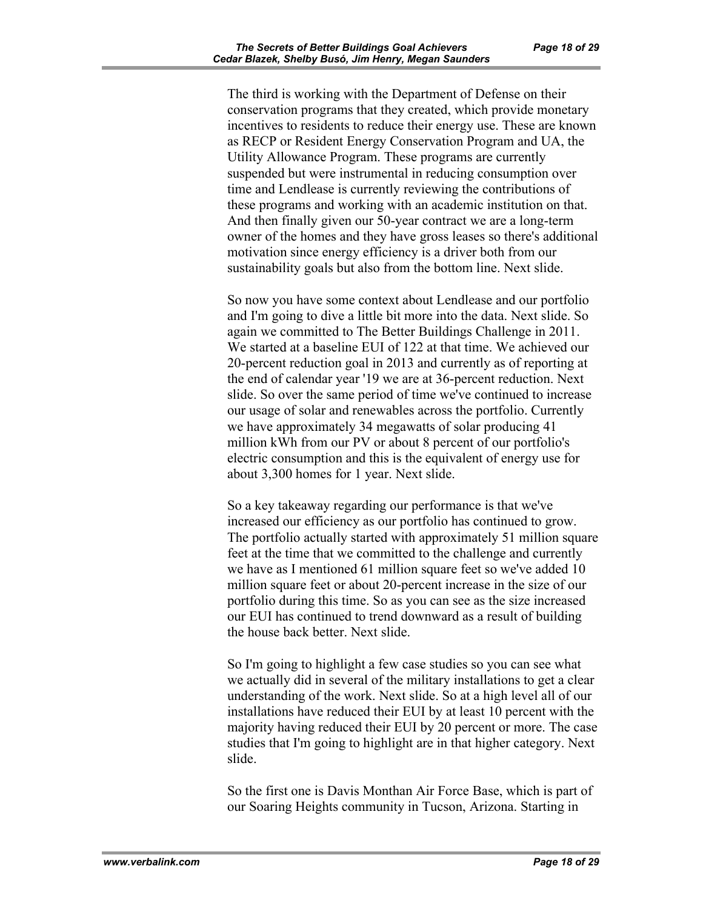The third is working with the Department of Defense on their conservation programs that they created, which provide monetary incentives to residents to reduce their energy use. These are known as RECP or Resident Energy Conservation Program and UA, the Utility Allowance Program. These programs are currently suspended but were instrumental in reducing consumption over time and Lendlease is currently reviewing the contributions of these programs and working with an academic institution on that. And then finally given our 50-year contract we are a long-term owner of the homes and they have gross leases so there's additional motivation since energy efficiency is a driver both from our sustainability goals but also from the bottom line. Next slide.

So now you have some context about Lendlease and our portfolio and I'm going to dive a little bit more into the data. Next slide. So again we committed to The Better Buildings Challenge in 2011. We started at a baseline EUI of 122 at that time. We achieved our 20-percent reduction goal in 2013 and currently as of reporting at the end of calendar year '19 we are at 36-percent reduction. Next slide. So over the same period of time we've continued to increase our usage of solar and renewables across the portfolio. Currently we have approximately 34 megawatts of solar producing 41 million kWh from our PV or about 8 percent of our portfolio's electric consumption and this is the equivalent of energy use for about 3,300 homes for 1 year. Next slide.

So a key takeaway regarding our performance is that we've increased our efficiency as our portfolio has continued to grow. The portfolio actually started with approximately 51 million square feet at the time that we committed to the challenge and currently we have as I mentioned 61 million square feet so we've added 10 million square feet or about 20-percent increase in the size of our portfolio during this time. So as you can see as the size increased our EUI has continued to trend downward as a result of building the house back better. Next slide.

So I'm going to highlight a few case studies so you can see what we actually did in several of the military installations to get a clear understanding of the work. Next slide. So at a high level all of our installations have reduced their EUI by at least 10 percent with the majority having reduced their EUI by 20 percent or more. The case studies that I'm going to highlight are in that higher category. Next slide.

So the first one is Davis Monthan Air Force Base, which is part of our Soaring Heights community in Tucson, Arizona. Starting in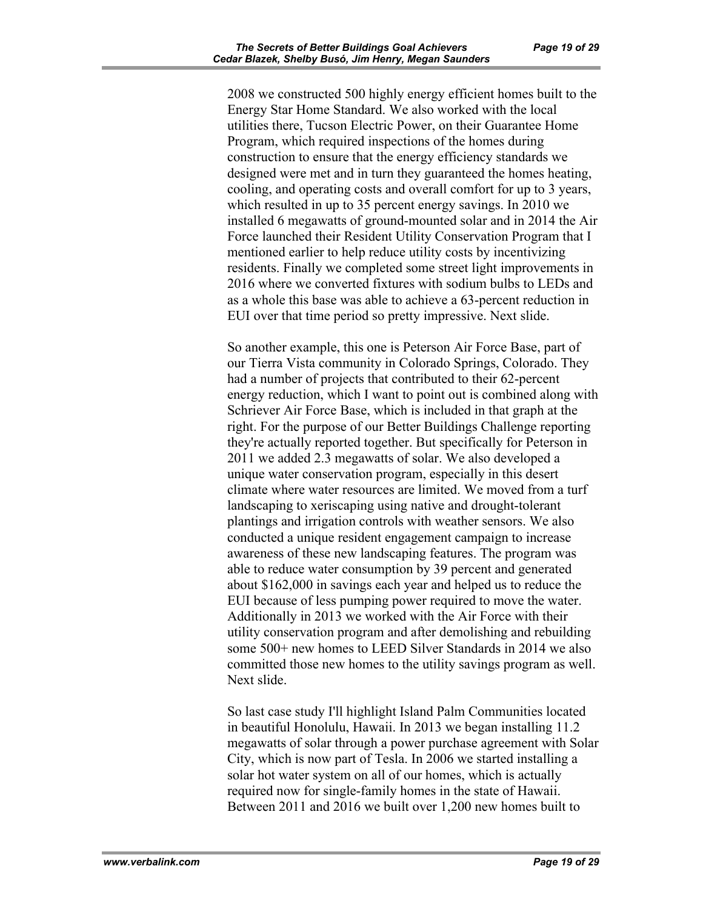2008 we constructed 500 highly energy efficient homes built to the Energy Star Home Standard. We also worked with the local utilities there, Tucson Electric Power, on their Guarantee Home Program, which required inspections of the homes during construction to ensure that the energy efficiency standards we designed were met and in turn they guaranteed the homes heating, cooling, and operating costs and overall comfort for up to 3 years, which resulted in up to 35 percent energy savings. In 2010 we installed 6 megawatts of ground-mounted solar and in 2014 the Air Force launched their Resident Utility Conservation Program that I mentioned earlier to help reduce utility costs by incentivizing residents. Finally we completed some street light improvements in 2016 where we converted fixtures with sodium bulbs to LEDs and as a whole this base was able to achieve a 63-percent reduction in EUI over that time period so pretty impressive. Next slide.

So another example, this one is Peterson Air Force Base, part of our Tierra Vista community in Colorado Springs, Colorado. They had a number of projects that contributed to their 62-percent energy reduction, which I want to point out is combined along with Schriever Air Force Base, which is included in that graph at the right. For the purpose of our Better Buildings Challenge reporting they're actually reported together. But specifically for Peterson in 2011 we added 2.3 megawatts of solar. We also developed a unique water conservation program, especially in this desert climate where water resources are limited. We moved from a turf landscaping to xeriscaping using native and drought-tolerant plantings and irrigation controls with weather sensors. We also conducted a unique resident engagement campaign to increase awareness of these new landscaping features. The program was able to reduce water consumption by 39 percent and generated about \$162,000 in savings each year and helped us to reduce the EUI because of less pumping power required to move the water. Additionally in 2013 we worked with the Air Force with their utility conservation program and after demolishing and rebuilding some 500+ new homes to LEED Silver Standards in 2014 we also committed those new homes to the utility savings program as well. Next slide.

So last case study I'll highlight Island Palm Communities located in beautiful Honolulu, Hawaii. In 2013 we began installing 11.2 megawatts of solar through a power purchase agreement with Solar City, which is now part of Tesla. In 2006 we started installing a solar hot water system on all of our homes, which is actually required now for single-family homes in the state of Hawaii. Between 2011 and 2016 we built over 1,200 new homes built to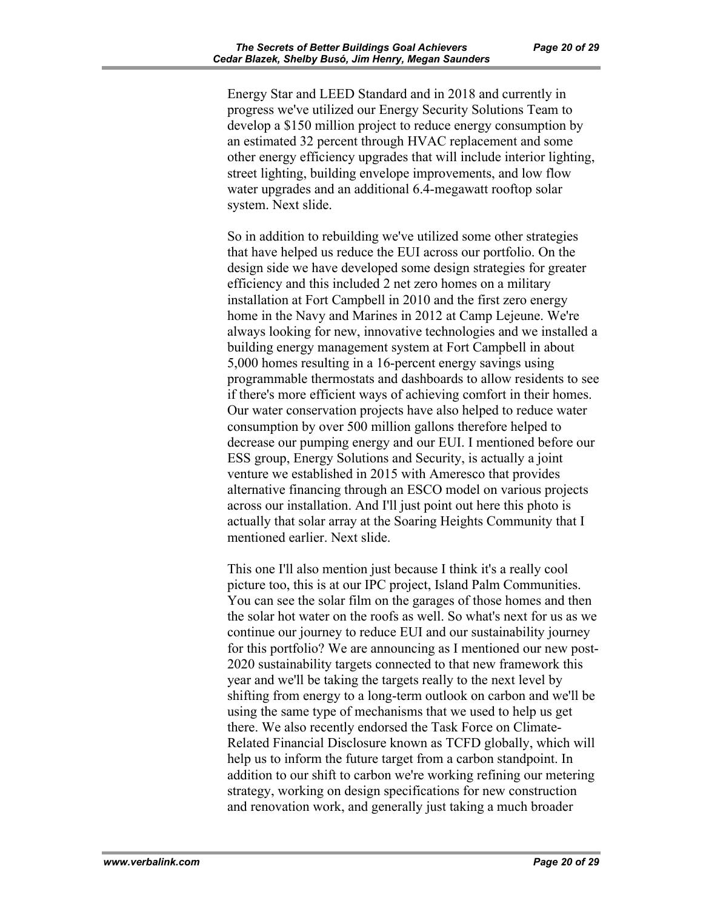Energy Star and LEED Standard and in 2018 and currently in progress we've utilized our Energy Security Solutions Team to develop a \$150 million project to reduce energy consumption by an estimated 32 percent through HVAC replacement and some other energy efficiency upgrades that will include interior lighting, street lighting, building envelope improvements, and low flow water upgrades and an additional 6.4-megawatt rooftop solar system. Next slide.

So in addition to rebuilding we've utilized some other strategies that have helped us reduce the EUI across our portfolio. On the design side we have developed some design strategies for greater efficiency and this included 2 net zero homes on a military installation at Fort Campbell in 2010 and the first zero energy home in the Navy and Marines in 2012 at Camp Lejeune. We're always looking for new, innovative technologies and we installed a building energy management system at Fort Campbell in about 5,000 homes resulting in a 16-percent energy savings using programmable thermostats and dashboards to allow residents to see if there's more efficient ways of achieving comfort in their homes. Our water conservation projects have also helped to reduce water consumption by over 500 million gallons therefore helped to decrease our pumping energy and our EUI. I mentioned before our ESS group, Energy Solutions and Security, is actually a joint venture we established in 2015 with Ameresco that provides alternative financing through an ESCO model on various projects across our installation. And I'll just point out here this photo is actually that solar array at the Soaring Heights Community that I mentioned earlier. Next slide.

This one I'll also mention just because I think it's a really cool picture too, this is at our IPC project, Island Palm Communities. You can see the solar film on the garages of those homes and then the solar hot water on the roofs as well. So what's next for us as we continue our journey to reduce EUI and our sustainability journey for this portfolio? We are announcing as I mentioned our new post-2020 sustainability targets connected to that new framework this year and we'll be taking the targets really to the next level by shifting from energy to a long-term outlook on carbon and we'll be using the same type of mechanisms that we used to help us get there. We also recently endorsed the Task Force on Climate-Related Financial Disclosure known as TCFD globally, which will help us to inform the future target from a carbon standpoint. In addition to our shift to carbon we're working refining our metering strategy, working on design specifications for new construction and renovation work, and generally just taking a much broader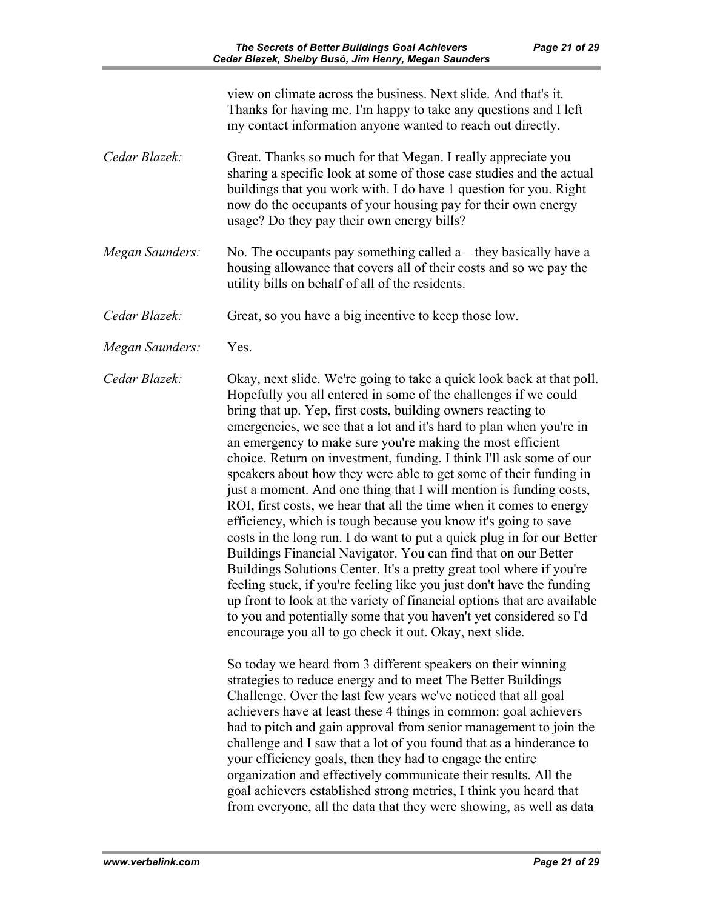view on climate across the business. Next slide. And that's it. Thanks for having me. I'm happy to take any questions and I left my contact information anyone wanted to reach out directly. *Cedar Blazek:* Great. Thanks so much for that Megan. I really appreciate you sharing a specific look at some of those case studies and the actual buildings that you work with. I do have 1 question for you. Right now do the occupants of your housing pay for their own energy usage? Do they pay their own energy bills? *Megan Saunders:* No. The occupants pay something called a – they basically have a housing allowance that covers all of their costs and so we pay the utility bills on behalf of all of the residents. *Cedar Blazek:* Great, so you have a big incentive to keep those low. *Megan Saunders:* Yes. *Cedar Blazek:* Okay, next slide. We're going to take a quick look back at that poll. Hopefully you all entered in some of the challenges if we could bring that up. Yep, first costs, building owners reacting to emergencies, we see that a lot and it's hard to plan when you're in an emergency to make sure you're making the most efficient choice. Return on investment, funding. I think I'll ask some of our speakers about how they were able to get some of their funding in just a moment. And one thing that I will mention is funding costs, ROI, first costs, we hear that all the time when it comes to energy efficiency, which is tough because you know it's going to save costs in the long run. I do want to put a quick plug in for our Better Buildings Financial Navigator. You can find that on our Better Buildings Solutions Center. It's a pretty great tool where if you're feeling stuck, if you're feeling like you just don't have the funding up front to look at the variety of financial options that are available to you and potentially some that you haven't yet considered so I'd encourage you all to go check it out. Okay, next slide. So today we heard from 3 different speakers on their winning strategies to reduce energy and to meet The Better Buildings Challenge. Over the last few years we've noticed that all goal achievers have at least these 4 things in common: goal achievers had to pitch and gain approval from senior management to join the challenge and I saw that a lot of you found that as a hinderance to your efficiency goals, then they had to engage the entire organization and effectively communicate their results. All the goal achievers established strong metrics, I think you heard that

from everyone, all the data that they were showing, as well as data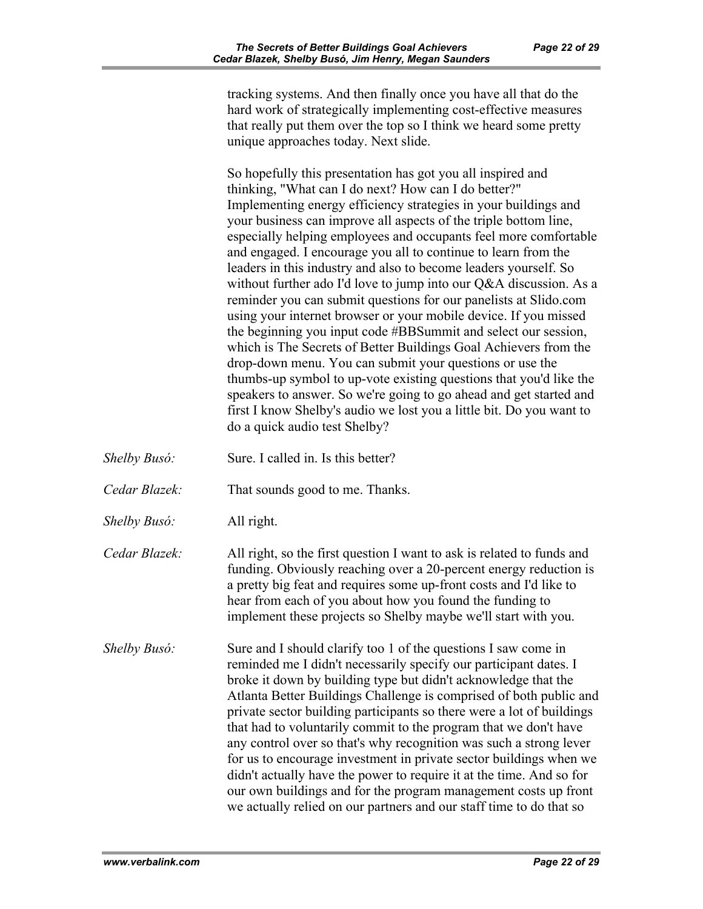tracking systems. And then finally once you have all that do the hard work of strategically implementing cost-effective measures that really put them over the top so I think we heard some pretty unique approaches today. Next slide.

So hopefully this presentation has got you all inspired and thinking, "What can I do next? How can I do better?" Implementing energy efficiency strategies in your buildings and your business can improve all aspects of the triple bottom line, especially helping employees and occupants feel more comfortable and engaged. I encourage you all to continue to learn from the leaders in this industry and also to become leaders yourself. So without further ado I'd love to jump into our Q&A discussion. As a reminder you can submit questions for our panelists at Slido.com using your internet browser or your mobile device. If you missed the beginning you input code #BBSummit and select our session, which is The Secrets of Better Buildings Goal Achievers from the drop-down menu. You can submit your questions or use the thumbs-up symbol to up-vote existing questions that you'd like the speakers to answer. So we're going to go ahead and get started and first I know Shelby's audio we lost you a little bit. Do you want to do a quick audio test Shelby?

*Shelby Busó:* Sure. I called in. Is this better? *Cedar Blazek:* That sounds good to me. Thanks. *Shelby Busó:* All right. *Cedar Blazek:* All right, so the first question I want to ask is related to funds and funding. Obviously reaching over a 20-percent energy reduction is a pretty big feat and requires some up-front costs and I'd like to hear from each of you about how you found the funding to implement these projects so Shelby maybe we'll start with you. *Shelby Busó:* Sure and I should clarify too 1 of the questions I saw come in reminded me I didn't necessarily specify our participant dates. I broke it down by building type but didn't acknowledge that the Atlanta Better Buildings Challenge is comprised of both public and private sector building participants so there were a lot of buildings that had to voluntarily commit to the program that we don't have any control over so that's why recognition was such a strong lever for us to encourage investment in private sector buildings when we didn't actually have the power to require it at the time. And so for our own buildings and for the program management costs up front we actually relied on our partners and our staff time to do that so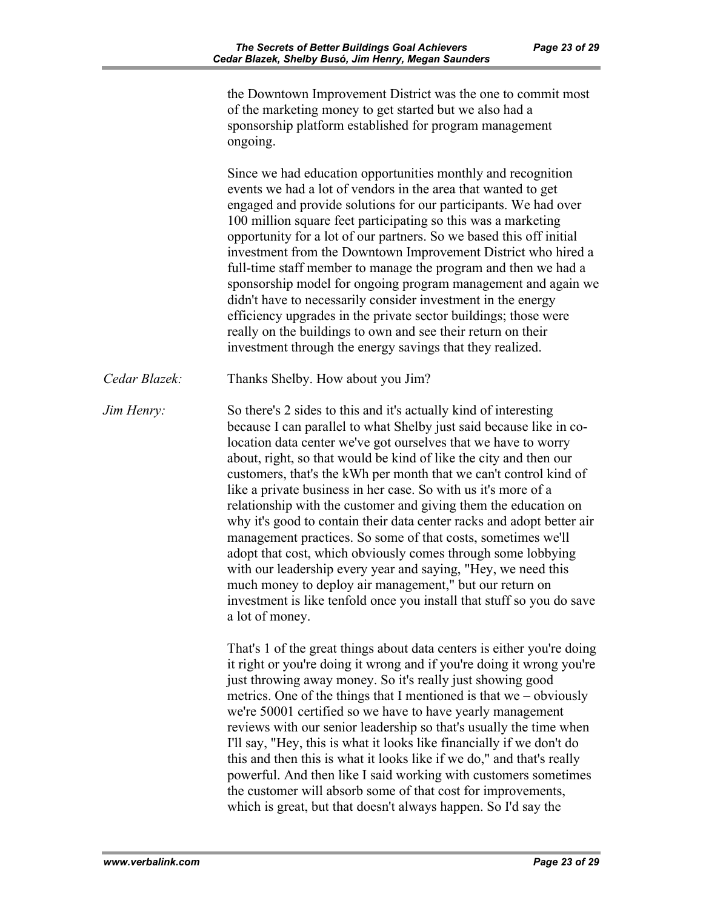the Downtown Improvement District was the one to commit most of the marketing money to get started but we also had a sponsorship platform established for program management ongoing.

Since we had education opportunities monthly and recognition events we had a lot of vendors in the area that wanted to get engaged and provide solutions for our participants. We had over 100 million square feet participating so this was a marketing opportunity for a lot of our partners. So we based this off initial investment from the Downtown Improvement District who hired a full-time staff member to manage the program and then we had a sponsorship model for ongoing program management and again we didn't have to necessarily consider investment in the energy efficiency upgrades in the private sector buildings; those were really on the buildings to own and see their return on their investment through the energy savings that they realized.

*Cedar Blazek:* Thanks Shelby. How about you Jim?

*Jim Henry:* So there's 2 sides to this and it's actually kind of interesting because I can parallel to what Shelby just said because like in colocation data center we've got ourselves that we have to worry about, right, so that would be kind of like the city and then our customers, that's the kWh per month that we can't control kind of like a private business in her case. So with us it's more of a relationship with the customer and giving them the education on why it's good to contain their data center racks and adopt better air management practices. So some of that costs, sometimes we'll adopt that cost, which obviously comes through some lobbying with our leadership every year and saying, "Hey, we need this much money to deploy air management," but our return on investment is like tenfold once you install that stuff so you do save a lot of money.

> That's 1 of the great things about data centers is either you're doing it right or you're doing it wrong and if you're doing it wrong you're just throwing away money. So it's really just showing good metrics. One of the things that I mentioned is that we – obviously we're 50001 certified so we have to have yearly management reviews with our senior leadership so that's usually the time when I'll say, "Hey, this is what it looks like financially if we don't do this and then this is what it looks like if we do," and that's really powerful. And then like I said working with customers sometimes the customer will absorb some of that cost for improvements, which is great, but that doesn't always happen. So I'd say the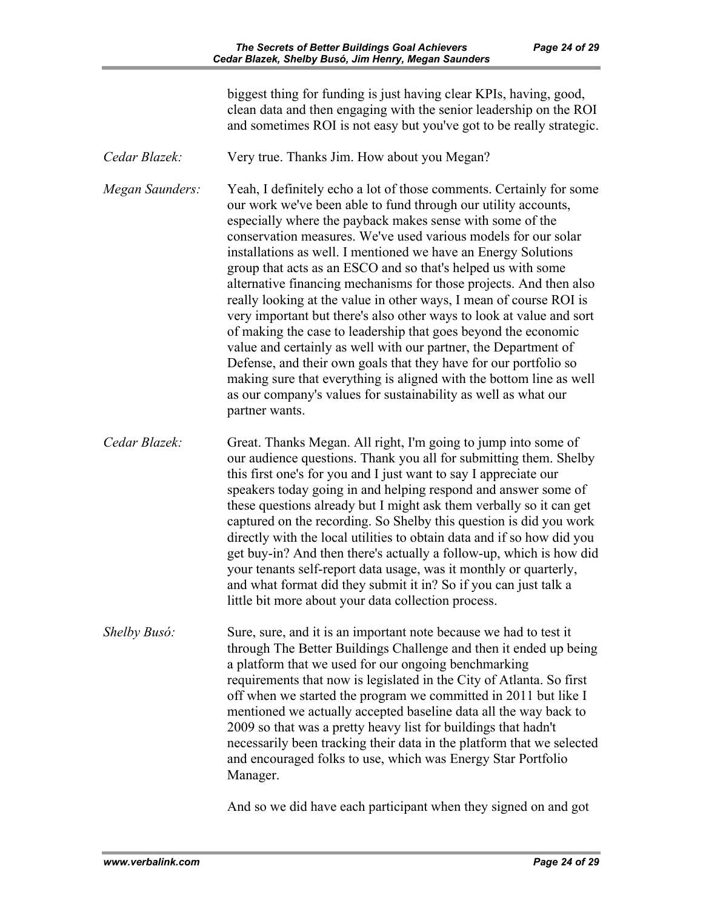biggest thing for funding is just having clear KPIs, having, good, clean data and then engaging with the senior leadership on the ROI and sometimes ROI is not easy but you've got to be really strategic.

*Cedar Blazek:* Very true. Thanks Jim. How about you Megan?

*Megan Saunders:* Yeah, I definitely echo a lot of those comments. Certainly for some our work we've been able to fund through our utility accounts, especially where the payback makes sense with some of the conservation measures. We've used various models for our solar installations as well. I mentioned we have an Energy Solutions group that acts as an ESCO and so that's helped us with some alternative financing mechanisms for those projects. And then also really looking at the value in other ways, I mean of course ROI is very important but there's also other ways to look at value and sort of making the case to leadership that goes beyond the economic value and certainly as well with our partner, the Department of Defense, and their own goals that they have for our portfolio so making sure that everything is aligned with the bottom line as well as our company's values for sustainability as well as what our partner wants.

*Cedar Blazek:* Great. Thanks Megan. All right, I'm going to jump into some of our audience questions. Thank you all for submitting them. Shelby this first one's for you and I just want to say I appreciate our speakers today going in and helping respond and answer some of these questions already but I might ask them verbally so it can get captured on the recording. So Shelby this question is did you work directly with the local utilities to obtain data and if so how did you get buy-in? And then there's actually a follow-up, which is how did your tenants self-report data usage, was it monthly or quarterly, and what format did they submit it in? So if you can just talk a little bit more about your data collection process.

*Shelby Busó:* Sure, sure, and it is an important note because we had to test it through The Better Buildings Challenge and then it ended up being a platform that we used for our ongoing benchmarking requirements that now is legislated in the City of Atlanta. So first off when we started the program we committed in 2011 but like I mentioned we actually accepted baseline data all the way back to 2009 so that was a pretty heavy list for buildings that hadn't necessarily been tracking their data in the platform that we selected and encouraged folks to use, which was Energy Star Portfolio Manager.

And so we did have each participant when they signed on and got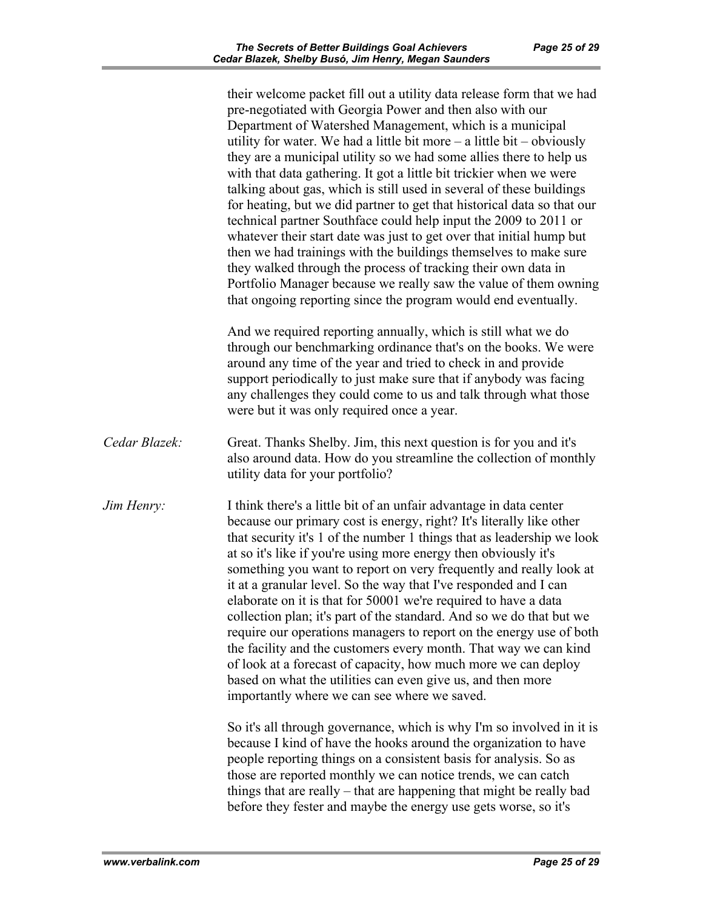|               | their welcome packet fill out a utility data release form that we had<br>pre-negotiated with Georgia Power and then also with our<br>Department of Watershed Management, which is a municipal<br>utility for water. We had a little bit more - a little bit - obviously<br>they are a municipal utility so we had some allies there to help us<br>with that data gathering. It got a little bit trickier when we were<br>talking about gas, which is still used in several of these buildings<br>for heating, but we did partner to get that historical data so that our<br>technical partner Southface could help input the 2009 to 2011 or<br>whatever their start date was just to get over that initial hump but<br>then we had trainings with the buildings themselves to make sure<br>they walked through the process of tracking their own data in<br>Portfolio Manager because we really saw the value of them owning<br>that ongoing reporting since the program would end eventually. |
|---------------|-------------------------------------------------------------------------------------------------------------------------------------------------------------------------------------------------------------------------------------------------------------------------------------------------------------------------------------------------------------------------------------------------------------------------------------------------------------------------------------------------------------------------------------------------------------------------------------------------------------------------------------------------------------------------------------------------------------------------------------------------------------------------------------------------------------------------------------------------------------------------------------------------------------------------------------------------------------------------------------------------|
|               | And we required reporting annually, which is still what we do<br>through our benchmarking ordinance that's on the books. We were<br>around any time of the year and tried to check in and provide<br>support periodically to just make sure that if anybody was facing<br>any challenges they could come to us and talk through what those<br>were but it was only required once a year.                                                                                                                                                                                                                                                                                                                                                                                                                                                                                                                                                                                                        |
| Cedar Blazek: | Great. Thanks Shelby. Jim, this next question is for you and it's<br>also around data. How do you streamline the collection of monthly<br>utility data for your portfolio?                                                                                                                                                                                                                                                                                                                                                                                                                                                                                                                                                                                                                                                                                                                                                                                                                      |
| Jim Henry:    | I think there's a little bit of an unfair advantage in data center<br>because our primary cost is energy, right? It's literally like other<br>that security it's 1 of the number 1 things that as leadership we look<br>at so it's like if you're using more energy then obviously it's<br>something you want to report on very frequently and really look at<br>it at a granular level. So the way that I've responded and I can<br>elaborate on it is that for 50001 we're required to have a data<br>collection plan; it's part of the standard. And so we do that but we<br>require our operations managers to report on the energy use of both<br>the facility and the customers every month. That way we can kind<br>of look at a forecast of capacity, how much more we can deploy<br>based on what the utilities can even give us, and then more<br>importantly where we can see where we saved.                                                                                        |
|               | So it's all through governance, which is why I'm so involved in it is<br>because I kind of have the hooks around the organization to have<br>people reporting things on a consistent basis for analysis. So as<br>those are reported monthly we can notice trends, we can catch<br>things that are really – that are happening that might be really bad<br>before they fester and maybe the energy use gets worse, so it's                                                                                                                                                                                                                                                                                                                                                                                                                                                                                                                                                                      |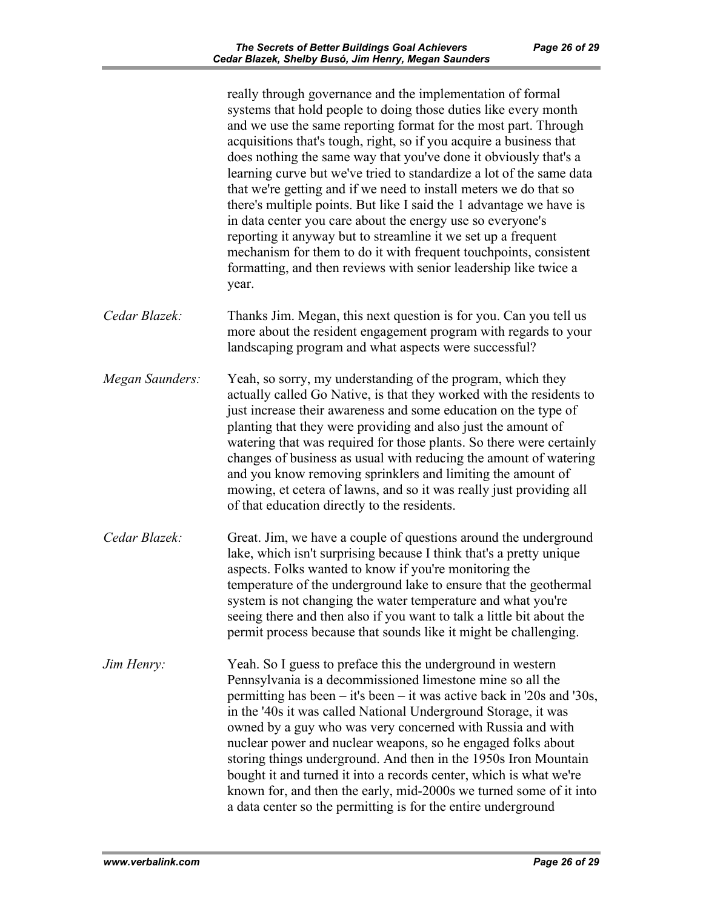|                   | really through governance and the implementation of formal<br>systems that hold people to doing those duties like every month<br>and we use the same reporting format for the most part. Through<br>acquisitions that's tough, right, so if you acquire a business that<br>does nothing the same way that you've done it obviously that's a<br>learning curve but we've tried to standardize a lot of the same data<br>that we're getting and if we need to install meters we do that so<br>there's multiple points. But like I said the 1 advantage we have is<br>in data center you care about the energy use so everyone's<br>reporting it anyway but to streamline it we set up a frequent<br>mechanism for them to do it with frequent touch points, consistent<br>formatting, and then reviews with senior leadership like twice a<br>year. |
|-------------------|---------------------------------------------------------------------------------------------------------------------------------------------------------------------------------------------------------------------------------------------------------------------------------------------------------------------------------------------------------------------------------------------------------------------------------------------------------------------------------------------------------------------------------------------------------------------------------------------------------------------------------------------------------------------------------------------------------------------------------------------------------------------------------------------------------------------------------------------------|
| Cedar Blazek:     | Thanks Jim. Megan, this next question is for you. Can you tell us<br>more about the resident engagement program with regards to your<br>landscaping program and what aspects were successful?                                                                                                                                                                                                                                                                                                                                                                                                                                                                                                                                                                                                                                                     |
| Megan Saunders:   | Yeah, so sorry, my understanding of the program, which they<br>actually called Go Native, is that they worked with the residents to<br>just increase their awareness and some education on the type of<br>planting that they were providing and also just the amount of<br>watering that was required for those plants. So there were certainly<br>changes of business as usual with reducing the amount of watering<br>and you know removing sprinklers and limiting the amount of<br>mowing, et cetera of lawns, and so it was really just providing all<br>of that education directly to the residents.                                                                                                                                                                                                                                        |
| Cedar Blazek:     | Great. Jim, we have a couple of questions around the underground<br>lake, which isn't surprising because I think that's a pretty unique<br>aspects. Folks wanted to know if you're monitoring the<br>temperature of the underground lake to ensure that the geothermal<br>system is not changing the water temperature and what you're<br>seeing there and then also if you want to talk a little bit about the<br>permit process because that sounds like it might be challenging.                                                                                                                                                                                                                                                                                                                                                               |
| <i>Jim Henry:</i> | Yeah. So I guess to preface this the underground in western<br>Pennsylvania is a decommissioned limestone mine so all the<br>permitting has been - it's been - it was active back in '20s and '30s,<br>in the '40s it was called National Underground Storage, it was<br>owned by a guy who was very concerned with Russia and with<br>nuclear power and nuclear weapons, so he engaged folks about<br>storing things underground. And then in the 1950s Iron Mountain<br>bought it and turned it into a records center, which is what we're<br>known for, and then the early, mid-2000s we turned some of it into<br>a data center so the permitting is for the entire underground                                                                                                                                                               |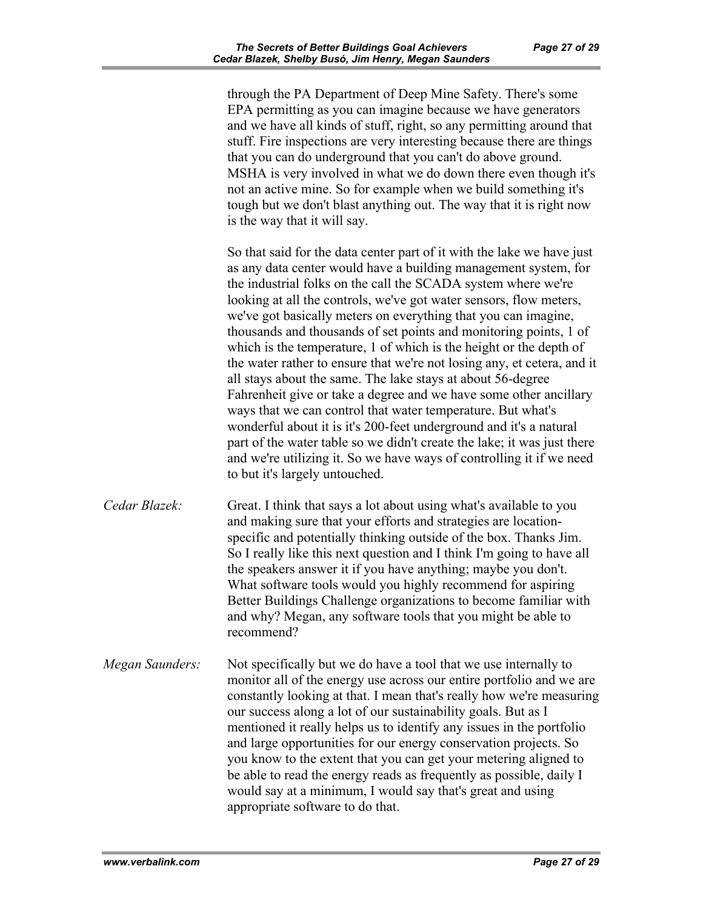through the PA Department of Deep Mine Safety. There's some EPA permitting as you can imagine because we have generators and we have all kinds of stuff, right, so any permitting around that stuff. Fire inspections are very interesting because there are things that you can do underground that you can't do above ground. MSHA is very involved in what we do down there even though it's not an active mine. So for example when we build something it's tough but we don't blast anything out. The way that it is right now is the way that it will say.

So that said for the data center part of it with the lake we have just as any data center would have a building management system, for the industrial folks on the call the SCADA system where we're looking at all the controls, we've got water sensors, flow meters, we've got basically meters on everything that you can imagine, thousands and thousands of set points and monitoring points, 1 of which is the temperature, 1 of which is the height or the depth of the water rather to ensure that we're not losing any, et cetera, and it all stays about the same. The lake stays at about 56-degree Fahrenheit give or take a degree and we have some other ancillary ways that we can control that water temperature. But what's wonderful about it is it's 200-feet underground and it's a natural part of the water table so we didn't create the lake; it was just there and we're utilizing it. So we have ways of controlling it if we need to but it's largely untouched.

*Cedar Blazek:* Great. I think that says a lot about using what's available to you and making sure that your efforts and strategies are locationspecific and potentially thinking outside of the box. Thanks Jim. So I really like this next question and I think I'm going to have all the speakers answer it if you have anything; maybe you don't. What software tools would you highly recommend for aspiring Better Buildings Challenge organizations to become familiar with and why? Megan, any software tools that you might be able to recommend?

*Megan Saunders:* Not specifically but we do have a tool that we use internally to monitor all of the energy use across our entire portfolio and we are constantly looking at that. I mean that's really how we're measuring our success along a lot of our sustainability goals. But as I mentioned it really helps us to identify any issues in the portfolio and large opportunities for our energy conservation projects. So you know to the extent that you can get your metering aligned to be able to read the energy reads as frequently as possible, daily I would say at a minimum, I would say that's great and using appropriate software to do that.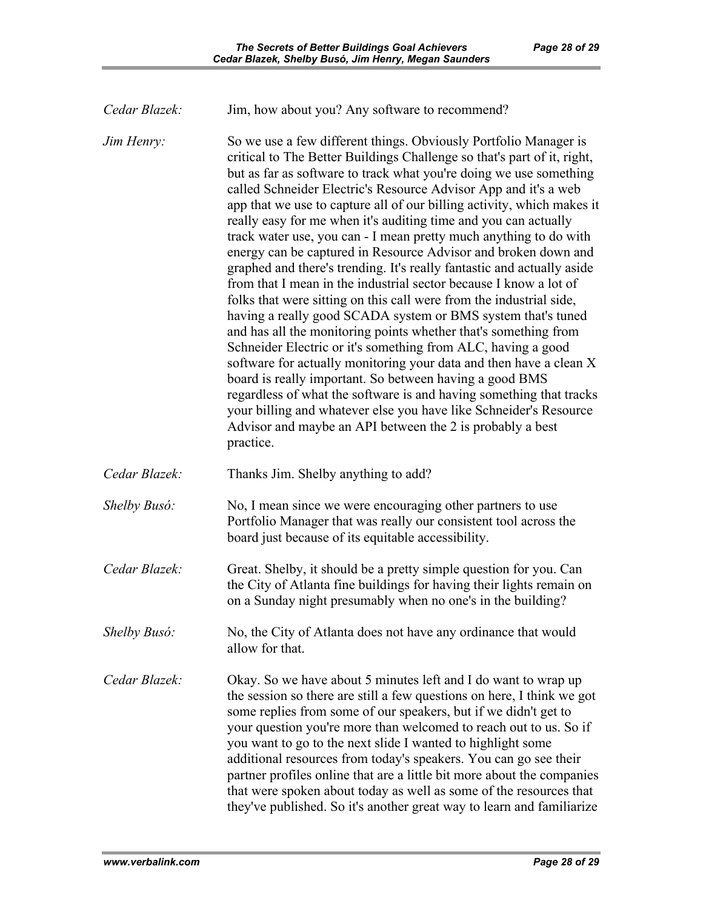*Jim Henry:* So we use a few different things. Obviously Portfolio Manager is critical to The Better Buildings Challenge so that's part of it, right, but as far as software to track what you're doing we use something called Schneider Electric's Resource Advisor App and it's a web app that we use to capture all of our billing activity, which makes it really easy for me when it's auditing time and you can actually track water use, you can - I mean pretty much anything to do with energy can be captured in Resource Advisor and broken down and graphed and there's trending. It's really fantastic and actually aside from that I mean in the industrial sector because I know a lot of folks that were sitting on this call were from the industrial side, having a really good SCADA system or BMS system that's tuned and has all the monitoring points whether that's something from Schneider Electric or it's something from ALC, having a good software for actually monitoring your data and then have a clean X board is really important. So between having a good BMS regardless of what the software is and having something that tracks your billing and whatever else you have like Schneider's Resource Advisor and maybe an API between the 2 is probably a best practice.

*Cedar Blazek:* Thanks Jim. Shelby anything to add?

*Shelby Busó:* No, I mean since we were encouraging other partners to use Portfolio Manager that was really our consistent tool across the board just because of its equitable accessibility.

- *Cedar Blazek:* Great. Shelby, it should be a pretty simple question for you. Can the City of Atlanta fine buildings for having their lights remain on on a Sunday night presumably when no one's in the building?
- *Shelby Busó:* No, the City of Atlanta does not have any ordinance that would allow for that.

*Cedar Blazek:* Okay. So we have about 5 minutes left and I do want to wrap up the session so there are still a few questions on here, I think we got some replies from some of our speakers, but if we didn't get to your question you're more than welcomed to reach out to us. So if you want to go to the next slide I wanted to highlight some additional resources from today's speakers. You can go see their partner profiles online that are a little bit more about the companies that were spoken about today as well as some of the resources that they've published. So it's another great way to learn and familiarize